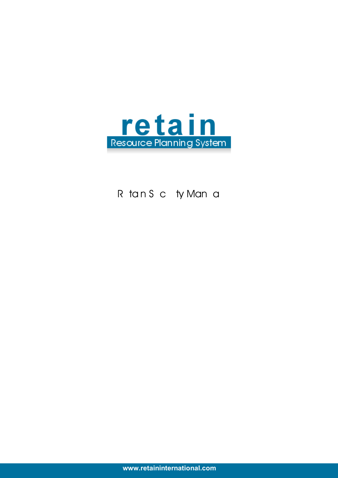

# R tansc ty Mana

**www.retaininternational.com**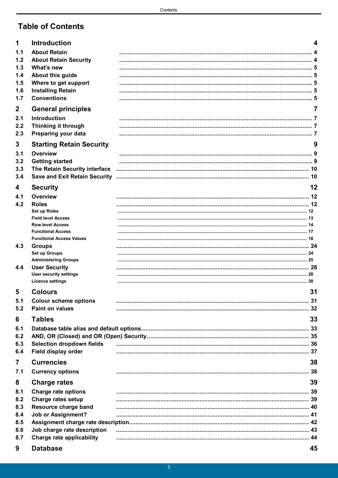## **Table of Contents**

| 1              | <b>Introduction</b>                                         | 4    |
|----------------|-------------------------------------------------------------|------|
| 1.1            | <b>About Retain</b>                                         |      |
| 1.2            | <b>About Retain Security</b>                                |      |
| 1.3            | What's new                                                  |      |
| 1.4            | About this guide                                            |      |
| 1.5<br>1.6     | Where to get support<br><b>Installing Retain</b>            |      |
| 1.7            | <b>Conventions</b>                                          |      |
|                |                                                             |      |
| $\mathbf 2$    | <b>General principles</b>                                   | 7    |
| 2.1<br>2.2     | Introduction                                                |      |
| 2.3            | Thinking it through<br>Preparing your data                  |      |
|                |                                                             |      |
| 3              | <b>Starting Retain Security</b>                             | 9    |
| 3.1            | Overview                                                    | . 9  |
| 3.2<br>3.3     | <b>Getting started</b><br>The Retain Security interface     | . 10 |
| 3.4            | <b>Save and Exit Retain Security</b>                        |      |
|                |                                                             |      |
| 4              | <b>Security</b>                                             | 12   |
| 4.1            | Overview                                                    |      |
| 4.2            | <b>Roles</b><br>Set up Roles                                |      |
|                | <b>Field level Access</b>                                   |      |
|                | <b>Row level Access</b>                                     |      |
|                | <b>Functional Access</b><br><b>Functional Access Values</b> |      |
| 4.3            | <b>Groups</b>                                               |      |
|                | Set up Groups                                               |      |
|                | <b>Administering Groups</b>                                 |      |
| 4.4            | <b>User Security</b>                                        |      |
|                | <b>User security settings</b><br><b>Licence settings</b>    |      |
|                |                                                             |      |
| 5              | <b>Colours</b>                                              | 31   |
| 5.1            | <b>Colour scheme options</b>                                |      |
| 5.2            | <b>Paint on values</b>                                      |      |
| 6              | <b>Tables</b>                                               | 33   |
| 6.1            |                                                             |      |
| 6.2            |                                                             |      |
| 6.3<br>6.4     | <b>Selection dropdown fields</b><br>Field display order     |      |
|                |                                                             |      |
| $\overline{7}$ | <b>Currencies</b>                                           | 38   |
| 7.1            | <b>Currency options</b>                                     |      |
| 8              | <b>Charge rates</b>                                         | 39   |
| 8.1            | <b>Charge rate options</b>                                  |      |
| 8.2            | <b>Charge rates setup</b>                                   |      |
| 8.3            | Resource charge band                                        |      |
| 8.4            | <b>Job or Assignment?</b>                                   |      |
| 8.5<br>8.6     | Job charge rate description                                 |      |
| 8.7            | <b>Charge rate applicability</b>                            |      |
|                |                                                             |      |
| 9              | <b>Database</b>                                             | 45   |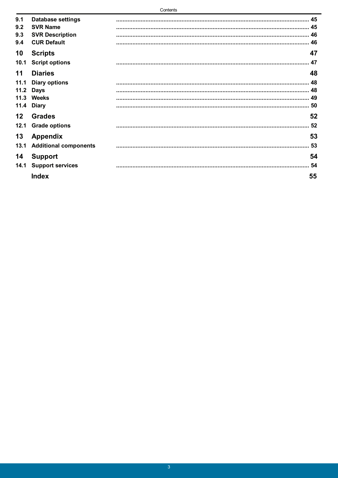| 9.1  | <b>Database settings</b>     |     |
|------|------------------------------|-----|
| 9.2  | <b>SVR Name</b>              |     |
| 9.3  | <b>SVR Description</b>       |     |
| 9.4  | <b>CUR Default</b>           |     |
| 10   | <b>Scripts</b>               | 47  |
| 10.1 | <b>Script options</b>        | .47 |
| 11   | <b>Diaries</b>               | 48  |
| 11.1 | <b>Diary options</b>         |     |
| 11.2 | <b>Days</b>                  |     |
|      | 11.3 Weeks                   |     |
| 11.4 | <b>Diary</b>                 |     |
| 12   | <b>Grades</b>                | 52  |
| 12.1 | <b>Grade options</b>         | 52  |
| 13   | <b>Appendix</b>              | 53  |
| 13.1 | <b>Additional components</b> | 53  |
| 14   | <b>Support</b>               | 54  |
| 14.1 | <b>Support services</b>      | 54  |
|      | <b>Index</b>                 | 55  |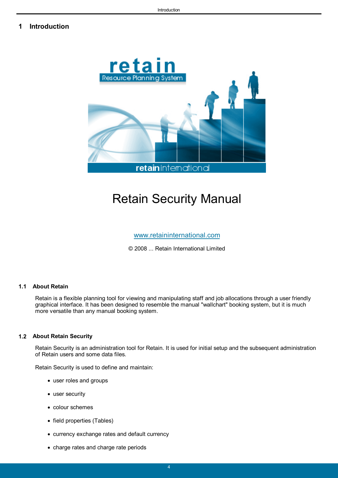## <span id="page-3-0"></span>**1 Introduction**



# Retain Security Manual

[www.retaininternational.com](http://www.retaininternational.com)

© 2008 ... Retain International Limited

## <span id="page-3-1"></span>**1.1 About Retain**

Retain is a flexible planning tool for viewing and manipulating staff and job allocations through a user friendly graphical interface. It has been designed to resemble the manual "wallchart" booking system, but it is much more versatile than any manual booking system.

#### <span id="page-3-2"></span>**1.2 About Retain Security**

Retain Security is an administration tool for Retain. It is used for initial setup and the subsequent administration of Retain users and some data files.

Retain Security is used to define and maintain:

- user roles and groups
- user security
- colour schemes
- field properties (Tables)
- currency exchange rates and default currency
- charge rates and charge rate periods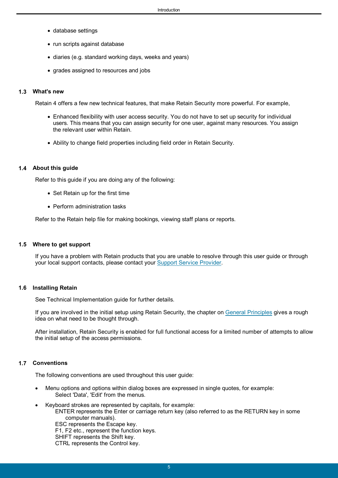- database settings
- run scripts against database
- diaries (e.g. standard working days, weeks and years)
- grades assigned to resources and jobs

#### <span id="page-4-0"></span>**1.3 What's new**

Retain 4 offers a few new technical features, that make Retain Security more powerful. For example,

- Enhanced flexibility with user access security. You do not have to set up security for individual users. This means that you can assign security for one user, against many resources. You assign the relevant user within Retain.
- Ability to change field properties including field order in Retain Security.

#### <span id="page-4-1"></span>**1.4 About this guide**

Refer to this guide if you are doing any of the following:

- Set Retain up for the first time
- Perform administration tasks

Refer to the Retain help file for making bookings, viewing staff plans or reports.

#### <span id="page-4-2"></span>**1.5 Where to get support**

If you have a problem with Retain products that you are unable to resolve through this user guide or through your local support contacts, please contact your [Support Service Provider.](#page-53-0)

#### <span id="page-4-3"></span>**1.6 Installing Retain**

See Technical Implementation guide for further details.

If you are involved in the initial setup using Retain Security, the chapter on [General Principles](#page-6-0) gives a rough idea on what need to be thought through.

After installation, Retain Security is enabled for full functional access for a limited number of attempts to allow the initial setup of the access permissions.

## <span id="page-4-4"></span>**1.7 Conventions**

The following conventions are used throughout this user guide:

- Menu options and options within dialog boxes are expressed in single quotes, for example: Select 'Data', 'Edit' from the menus.
- Keyboard strokes are represented by capitals, for example: ENTER represents the Enter or carriage return key (also referred to as the RETURN key in some computer manuals). ESC represents the Escape key.

F1, F2 etc., represent the function keys. SHIFT represents the Shift key.

CTRL represents the Control key.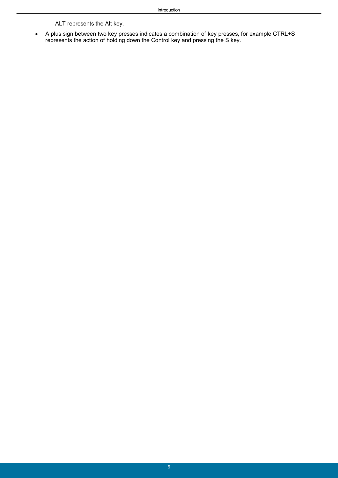ALT represents the Alt key.

 A plus sign between two key presses indicates a combination of key presses, for example CTRL+S represents the action of holding down the Control key and pressing the S key.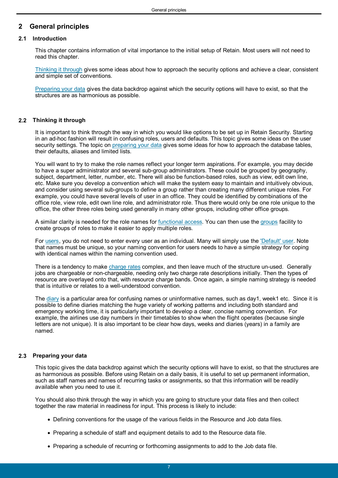## <span id="page-6-0"></span>**2 General principles**

## **2.1 Introduction**

This chapter contains information of vital importance to the initial setup of Retain. Most users will not need to read this chapter.

[Thinking it through](#page-6-1) gives some ideas about how to approach the security options and achieve a clear, consistent and simple set of conventions.

[Preparing your data](#page-6-2) gives the data backdrop against which the security options will have to exist, so that the structures are as harmonious as possible.

## <span id="page-6-1"></span>**2.2 Thinking it through**

It is important to think through the way in which you would like options to be set up in Retain Security. Starting in an ad-hoc fashion will result in confusing roles, users and defaults. This topic gives some ideas on the user security settings. The topic on [preparing your data](#page-6-2) gives some ideas for how to approach the database tables, their defaults, aliases and limited lists.

You will want to try to make the role names reflect your longer term aspirations. For example, you may decide to have a super administrator and several sub-group administrators. These could be grouped by geography, subject, department, letter, number, etc. There will also be function-based roles, such as view, edit own line, etc. Make sure you develop a convention which will make the system easy to maintain and intuitively obvious, and consider using several sub-groups to define a group rather than creating many different unique roles. For example, you could have several levels of user in an office. They could be identified by combinations of the office role, view role, edit own line role, and administrator role. Thus there would only be one role unique to the office, the other three roles being used generally in many other groups, including other office groups.

A similar clarity is needed for the role names for [functional access.](#page-16-0) You can then use the [groups](#page-23-0) facility to create groups of roles to make it easier to apply multiple roles.

For [users,](#page-27-0) you do not need to enter every user as an individual. Many will simply use the ['Default' user](#page-27-0). Note that names must be unique, so your naming convention for users needs to have a simple strategy for coping with identical names within the naming convention used.

There is a tendency to make [charge rates](#page-38-0) complex, and then leave much of the structure un-used. Generally jobs are chargeable or non-chargeable, needing only two charge rate descriptions initially. Then the types of resource are overlayed onto that, with resource charge bands. Once again, a simple naming strategy is needed that is intuitive or relates to a well-understood convention.

The [diary](#page-47-0) is a particular area for confusing names or uninformative names, such as day1, week1 etc. Since it is possible to define diaries matching the huge variety of working patterns and including both standard and emergency working time, it is particularly important to develop a clear, concise naming convention. For example, the airlines use day numbers in their timetables to show when the flight operates (because single letters are not unique). It is also important to be clear how days, weeks and diaries (years) in a family are named.

## <span id="page-6-2"></span>**2.3 Preparing your data**

This topic gives the data backdrop against which the security options will have to exist, so that the structures are as harmonious as possible. Before using Retain on a daily basis, it is useful to set up permanent information, such as staff names and names of recurring tasks or assignments, so that this information will be readily available when you need to use it.

You should also think through the way in which you are going to structure your data files and then collect together the raw material in readiness for input. This process is likely to include:

- Defining conventions for the usage of the various fields in the Resource and Job data files.
- Preparing a schedule of staff and equipment details to add to the Resource data file.
- Preparing a schedule of recurring or forthcoming assignments to add to the Job data file.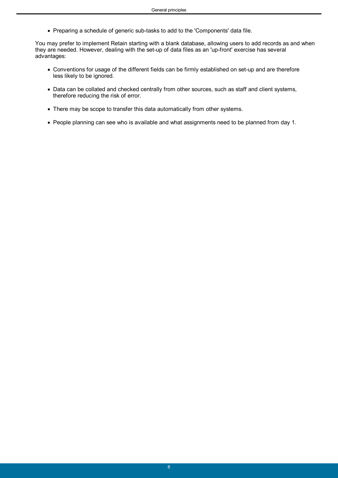Preparing a schedule of generic sub-tasks to add to the 'Components' data file.

You may prefer to implement Retain starting with a blank database, allowing users to add records as and when they are needed. However, dealing with the set-up of data files as an 'up-front' exercise has several advantages:

- Conventions for usage of the different fields can be firmly established on set-up and are therefore less likely to be ignored.
- Data can be collated and checked centrally from other sources, such as staff and client systems, therefore reducing the risk of error.
- There may be scope to transfer this data automatically from other systems.
- People planning can see who is available and what assignments need to be planned from day 1.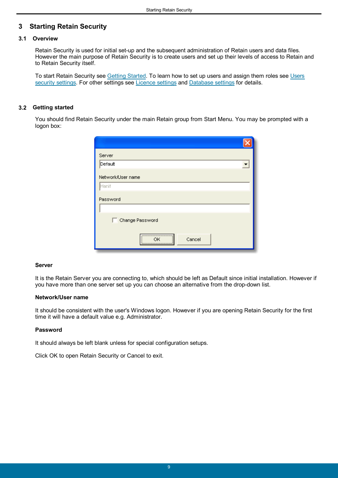## <span id="page-8-0"></span>**3 Starting Retain Security**

## **3.1 Overview**

Retain Security is used for initial set-up and the subsequent administration of Retain users and data files. However the main purpose of Retain Security is to create users and set up their levels of access to Retain and to Retain Security itself.

To start Retain Security see [Getting Started.](#page-8-1) To learn how to set up users and assign them roles see [Users](#page-27-0) [security settings.](#page-27-0) For other settings see [Licence settings](#page-29-0) and [Database settings](#page-44-0) for details.

## <span id="page-8-1"></span>**3.2 Getting started**

You should find Retain Security under the main Retain group from Start Menu. You may be prompted with a logon box:

| Server            |
|-------------------|
| Default           |
| Network/User name |
| Hanif             |
| Password          |
|                   |
| Change Password   |
|                   |
| Cancel<br>OΚ<br>\ |

#### **Server**

It is the Retain Server you are connecting to, which should be left as Default since initial installation. However if you have more than one server set up you can choose an alternative from the drop-down list.

### **Network/User name**

It should be consistent with the user's Windows logon. However if you are opening Retain Security for the first time it will have a default value e.g. Administrator.

#### **Password**

It should always be left blank unless for special configuration setups.

Click OK to open Retain Security or Cancel to exit.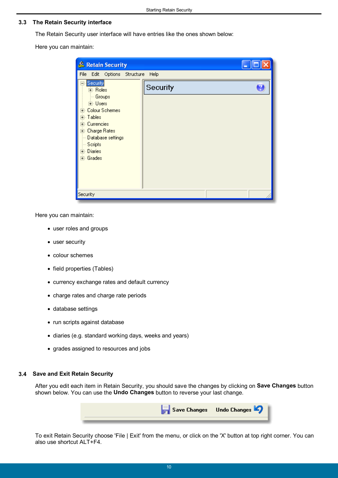### <span id="page-9-0"></span>**3.3 The Retain Security interface**

The Retain Security user interface will have entries like the ones shown below:

Here you can maintain:

| & Retain Security                                                                                                                                                                              |          |  |
|------------------------------------------------------------------------------------------------------------------------------------------------------------------------------------------------|----------|--|
| File Edit Options Structure Help                                                                                                                                                               |          |  |
| Security<br>国· Roles<br><b>Groups</b><br><b>⊞</b> - Users<br>E- Colour Schemes<br>中 Tables<br>E Currencies<br>国· Charge Rates<br>Database settings<br><b>Scripts</b><br>国·Diaries<br>国· Grades | Security |  |
| Security                                                                                                                                                                                       |          |  |

Here you can maintain:

- user roles and groups
- user security
- colour schemes
- field properties (Tables)
- currency exchange rates and default currency
- charge rates and charge rate periods
- database settings
- run scripts against database
- diaries (e.g. standard working days, weeks and years)
- grades assigned to resources and jobs

#### <span id="page-9-1"></span>**3.4 Save and Exit Retain Security**

After you edit each item in Retain Security, you should save the changes by clicking on **Save Changes** button shown below. You can use the **Undo Changes** button to reverse your last change.



To exit Retain Security choose 'File | Exit' from the menu, or click on the 'X' button at top right corner. You can also use shortcut ALT+F4.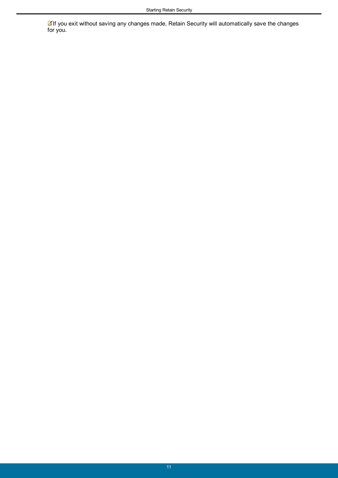If you exit without saving any changes made, Retain Security will automatically save the changes for you.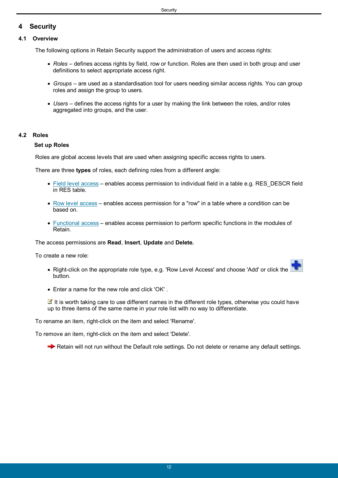## <span id="page-11-0"></span>**4 Security**

## **4.1 Overview**

The following options in Retain Security support the administration of users and access rights:

- *Roles* defines access rights by field, row or function. Roles are then used in both group and user definitions to select appropriate access right.
- *Groups* are used as a standardisation tool for users needing similar access rights. You can group roles and assign the group to users.
- *Users* defines the access rights for a user by making the link between the roles, and/or roles aggregated into groups, and the user.

## <span id="page-11-1"></span>**4.2 Roles**

## **Set up Roles**

Roles are global access levels that are used when assigning specific access rights to users.

There are three **types** of roles, each defining roles from a different angle:

- [Field level access](#page-12-0) enables access permission to individual field in a table e.g. RES\_DESCR field in RES table.
- [Row level access](#page-13-0) enables access permission for a "row" in a table where a condition can be based on.
- [Functional access](#page-16-0) enables access permission to perform specific functions in the modules of Retain.

The access permissions are **Read**, **Insert**, **Update** and **Delete.**

To create a new role:

- Right-click on the appropriate role type, e.g. 'Row Level Access' and choose 'Add' or click the button.
- Enter a name for the new role and click 'OK' .

It is worth taking care to use different names in the different role types, otherwise you could have up to three items of the same name in your role list with no way to differentiate.

To rename an item, right-click on the item and select 'Rename'.

To remove an item, right-click on the item and select 'Delete'.

Retain will not run without the Default role settings. Do not delete or rename any default settings.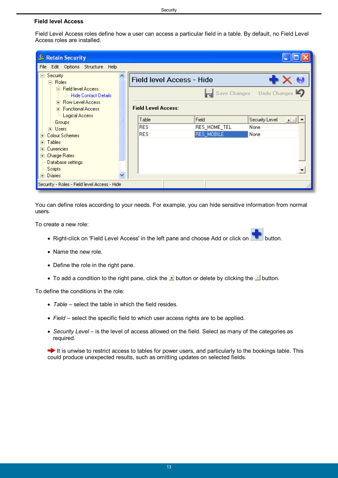## <span id="page-12-0"></span>**Field level Access**

Field Level Access roles define how a user can access a particular field in a table. By default, no Field Level Access roles are installed.

| & Retain Security                                      |  |                                                         |              |                             |  |  |  |
|--------------------------------------------------------|--|---------------------------------------------------------|--------------|-----------------------------|--|--|--|
| Edit Options Structure Help<br>File                    |  |                                                         |              |                             |  |  |  |
| ⊟- Security<br>白· Roles                                |  | Field level Access - Hide                               |              |                             |  |  |  |
| 向 Field level Access<br><b>Em Hide Contact Details</b> |  | $\blacksquare$ Save Changes Undo Changes $\blacksquare$ |              |                             |  |  |  |
| 中 Row Level Access<br>中 Functional Access              |  | <b>Field Level Access:</b>                              |              |                             |  |  |  |
| illi Logical Access<br>Groups                          |  | Table                                                   | Field        | Security Level<br>$+$ $   $ |  |  |  |
| ⊞- Users                                               |  | <b>RES</b>                                              | RES_HOME_TEL | None                        |  |  |  |
| <b>Colour Schemes</b><br>$\overline{+}$                |  | <b>RES</b>                                              | RES_MOBILE   | None                        |  |  |  |
| मे <sub>"</sub> Tables  <br>Currencies:                |  |                                                         |              |                             |  |  |  |
| 田· Charge Rates:                                       |  |                                                         |              |                             |  |  |  |
| - Database settings                                    |  |                                                         |              |                             |  |  |  |
| Scripts                                                |  |                                                         |              |                             |  |  |  |
| 国·Diaries                                              |  |                                                         |              |                             |  |  |  |
| Security - Roles - Field level Access - Hide           |  |                                                         |              |                             |  |  |  |

You can define roles according to your needs. For example, you can hide sensitive information from normal users.

To create a new role:

- Right-click on 'Field Level Access' in the left pane and choose Add or click on **button**.
- Name the new role.
- Define the role in the right pane.
- To add a condition to the right pane, click the  $\pm$  button or delete by clicking the  $\pm$  button.

To define the conditions in the role:

- *Table* select the table in which the field resides.
- *Field* select the specific field to which user access rights are to be applied.
- *Security Level* is the level of access allowed on the field. Select as many of the categories as required.

 $\rightarrow$  It is unwise to restrict access to tables for power users, and particularly to the bookings table. This could produce unexpected results, such as omitting updates on selected fields.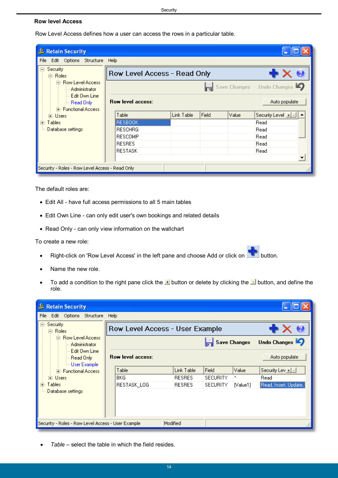## <span id="page-13-0"></span>**Row level Access**

Row Level Access defines how a user can access the rows in a particular table.

| & Retain Security                                       |                          |                              |       |       |                                     |  |  |
|---------------------------------------------------------|--------------------------|------------------------------|-------|-------|-------------------------------------|--|--|
| Edit Options Structure<br>File                          | Help                     |                              |       |       |                                     |  |  |
| ⊟- Security:<br>白· Roles                                |                          | Row Level Access - Read Only |       |       |                                     |  |  |
| 白 <sub>"</sub> Row Level Access<br>— Administrator      |                          |                              |       |       | Save Changes Undo Changes           |  |  |
| — Edit Own Line<br>ill Read Only<br>中 Functional Access | <b>Row level access:</b> |                              |       |       | Auto populate                       |  |  |
| ⊞- Users                                                | Table                    | Link Table                   | Field | Value | Security Level $\boxed{+}\boxed{-}$ |  |  |
| Tables<br>Ŧ                                             | RESBOOK                  |                              |       |       | Read                                |  |  |
| Database settings                                       | <b>RESCHRG</b>           |                              |       |       | Read                                |  |  |
|                                                         | <b>RESCOMP</b>           |                              |       |       | Read                                |  |  |
|                                                         | <b>RESRES</b>            |                              |       |       | Read                                |  |  |
|                                                         | <b>RESTASK</b>           |                              |       |       | Read                                |  |  |
|                                                         |                          |                              |       |       |                                     |  |  |
| Security - Roles - Row Level Access - Read Only         |                          |                              |       |       |                                     |  |  |

The default roles are:

- Edit All have full access permissions to all 5 main tables
- Edit Own Line can only edit user's own bookings and related details
- Read Only can only view information on the wallchart

To create a new role:

- Right-click on 'Row Level Access' in the left pane and choose Add or click on **button**.
- Name the new role.
- To add a condition to the right pane click the  $\pm$  button or delete by clicking the  $\pm$  button, and define the role.

| & Retain Security                                  |                          |                                          |                 |          |                       |  |  |
|----------------------------------------------------|--------------------------|------------------------------------------|-----------------|----------|-----------------------|--|--|
| File<br>Edit Options<br>Structure                  | Help                     |                                          |                 |          |                       |  |  |
| ⊟- Security:<br>白· Roles                           |                          | Row Level Access - User Example<br>' X U |                 |          |                       |  |  |
| 白· Row Level Access<br>-- Administrator            |                          | Undo Changes                             |                 |          |                       |  |  |
| Edit Own Line<br>Read Only<br>illu User Example !  | <b>Row level access:</b> |                                          |                 |          | Auto populate         |  |  |
| 中 Functional Access                                | Table                    | Link Table                               | Field           | Value    | Security Lev +   -    |  |  |
| मि∝ Users।                                         | BKG                      | <b>RESRES</b>                            | SECURITY        | ×        | Read                  |  |  |
| Tables<br>$\overline{+}$ .                         | RESTASK_LOG              | <b>RESRES</b>                            | <b>SECURITY</b> | [Value1] | Read, Insert, Update, |  |  |
| Database settings                                  |                          |                                          |                 |          |                       |  |  |
| Security - Roles - Row Level Access - User Example |                          | Modified                                 |                 |          |                       |  |  |

*Table* – select the table in which the field resides.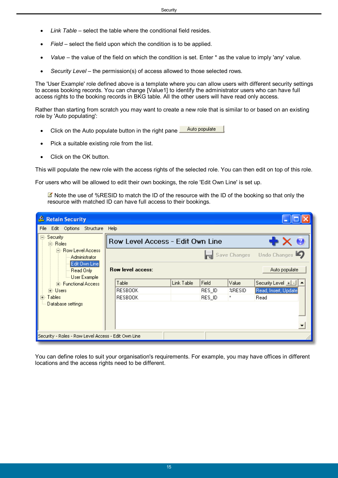- *Link Table* select the table where the conditional field resides.
- *Field* select the field upon which the condition is to be applied.
- *Value* the value of the field on which the condition is set. Enter \* as the value to imply 'any' value.
- *Security Level* the permission(s) of access allowed to those selected rows.

The 'User Example' role defined above is a template where you can allow users with different security settings to access booking records. You can change [Value1] to identify the administrator users who can have full access rights to the booking records in BKG table. All the other users will have read only access.

Rather than starting from scratch you may want to create a new role that is similar to or based on an existing role by 'Auto populating':

- Click on the Auto populate button in the right pane **...** Auto populate
- Pick a suitable existing role from the list.
- Click on the OK button.

This will populate the new role with the access rights of the selected role. You can then edit on top of this role.

For users who will be allowed to edit their own bookings, the role 'Edit Own Line' is set up.

Note the use of %RESID to match the ID of the resource with the ID of the booking so that only the resource with matched ID can have full access to their bookings.

| & Retain Security                                             |                                  |            |        |        |                                        |  |  |
|---------------------------------------------------------------|----------------------------------|------------|--------|--------|----------------------------------------|--|--|
| File<br>Edit Options Structure Help                           |                                  |            |        |        |                                        |  |  |
| ⊟⊹Security:<br>白 Roles                                        | Row Level Access - Edit Own Line |            |        |        |                                        |  |  |
| 白 Row Level Access<br>Administrator                           |                                  |            |        |        | Save Changes Undo Changes              |  |  |
| <b>Edit Own Line</b><br>- Read Only<br><b>L. User Example</b> | <b>Row level access:</b>         |            |        |        | Auto populate                          |  |  |
| 中 Functional Access                                           | Table                            | Link Table | Field  | Value  | Security Level $\boxed{+}$ $\boxed{-}$ |  |  |
| i∓⊡Users,                                                     | RESBOOK                          |            | RES_ID | %RESID | Read, Insert, Update                   |  |  |
| Tables<br>Fŀ                                                  | <b>RESBOOK</b>                   |            | RES_ID | ×      | Read                                   |  |  |
| Database settings                                             |                                  |            |        |        |                                        |  |  |
| Security - Roles - Row Level Access - Edit Own Line           |                                  |            |        |        |                                        |  |  |

You can define roles to suit your organisation's requirements. For example, you may have offices in different locations and the access rights need to be different.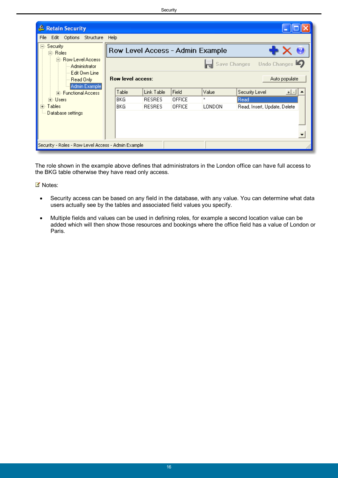| & Retain Security                                     |                           |               |               |                                  |                              |               |
|-------------------------------------------------------|---------------------------|---------------|---------------|----------------------------------|------------------------------|---------------|
| File<br>Edit Options<br>Structure Help                |                           |               |               |                                  |                              |               |
| ⊟⊹Security<br>白 Roles                                 |                           |               |               | Row Level Access - Admin Example |                              | X G           |
| 白 <sub>"</sub> Row Level Access.<br>--- Administrator | Save Changes Undo Changes |               |               |                                  |                              |               |
| Edit Own Line<br>Read Only<br>Admin Example           | <b>Row level access:</b>  |               |               |                                  |                              | Auto populate |
| 中 Functional Access                                   | Table                     | Link Table    | Field         | Value                            | Security Level               | $+  \cdot  $  |
| <b>i∓</b> Users                                       | <b>BKG</b>                | <b>RESRES</b> | <b>OFFICE</b> | $\mathbf x$                      | Read                         |               |
| मे∝ Tables:                                           | BKG.                      | <b>RESRES</b> | <b>OFFICE</b> | LONDON                           | Read, Insert, Update, Delete |               |
| Database settings                                     |                           |               |               |                                  |                              |               |
| Security - Roles - Row Level Access - Admin Example   |                           |               |               |                                  |                              |               |

The role shown in the example above defines that administrators in the London office can have full access to the BKG table otherwise they have read only access.

■ Notes:

- Security access can be based on any field in the database, with any value. You can determine what data users actually see by the tables and associated field values you specify.
- Multiple fields and values can be used in defining roles, for example a second location value can be added which will then show those resources and bookings where the office field has a value of London or Paris.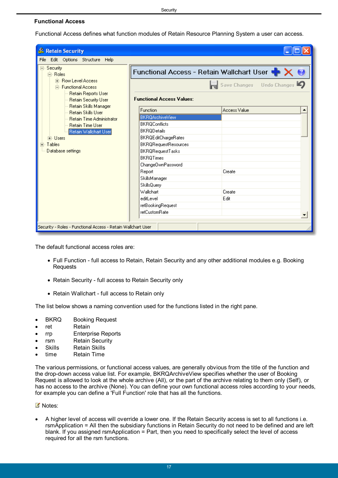## <span id="page-16-0"></span>**Functional Access**

Functional Access defines what function modules of Retain Resource Planning System a user can access.

| & Retain Security                                                                                                                 |                                                                                                                                                                                                       |                           |  |  |  |
|-----------------------------------------------------------------------------------------------------------------------------------|-------------------------------------------------------------------------------------------------------------------------------------------------------------------------------------------------------|---------------------------|--|--|--|
| Edit Options Structure Help<br>File                                                                                               |                                                                                                                                                                                                       |                           |  |  |  |
| ⊟- Security<br>向· Roles<br>中· Row Level Access<br>白· Functional Access                                                            |                                                                                                                                                                                                       | Save Changes Undo Changes |  |  |  |
| Retain Reports User<br><b>Retain Security User</b><br>Retain Skills Manager                                                       | <b>Functional Access Values:</b>                                                                                                                                                                      |                           |  |  |  |
| <b>Retain Skills User</b>                                                                                                         | Function                                                                                                                                                                                              | <b>Access Value</b>       |  |  |  |
| <b>Retain Time Administrator</b><br><b>Retain Time User</b><br>Retain Wallchart User<br>中· Users<br>中 Tables<br>Database settings | <b>BKRQArchiveView</b><br><b>BKROConflicts</b><br><b>BKRODetails</b><br><b>BKRQEditChargeRates</b><br><b>BKRQRequestResources</b><br><b>BKRQRequestTasks</b><br><b>BKROTimes</b><br>ChangeOwnPassword |                           |  |  |  |
|                                                                                                                                   | Report<br>SkillsManager                                                                                                                                                                               | Create                    |  |  |  |
|                                                                                                                                   | SkillsQuery                                                                                                                                                                                           |                           |  |  |  |
|                                                                                                                                   | Wallchart                                                                                                                                                                                             | Create                    |  |  |  |
|                                                                                                                                   | editLevel                                                                                                                                                                                             | Edit                      |  |  |  |
|                                                                                                                                   | retBookingRequest                                                                                                                                                                                     |                           |  |  |  |
|                                                                                                                                   | <b>retCustomRate</b>                                                                                                                                                                                  |                           |  |  |  |
| Security - Roles - Functional Access - Retain Wallchart User                                                                      |                                                                                                                                                                                                       |                           |  |  |  |

The default functional access roles are:

- Full Function full access to Retain, Retain Security and any other additional modules e.g. Booking Requests
- Retain Security full access to Retain Security only
- Retain Wallchart full access to Retain only

The list below shows a naming convention used for the functions listed in the right pane.

- BKRQ Booking Request
- ret Retain
- rrp Enterprise Reports
- rsm Retain Security
- Skills Retain Skills
- time Retain Time

The various permissions, or functional access values, are generally obvious from the title of the function and the drop-down access value list. For example, BKRQArchiveView specifies whether the user of Booking Request is allowed to look at the whole archive (All), or the part of the archive relating to them only (Self), or has no access to the archive (None). You can define your own functional access roles according to your needs, for example you can define a 'Full Function' role that has all the functions.

#### ■ Notes:

 A higher level of access will override a lower one. If the Retain Security access is set to all functions i.e. rsmApplication = All then the subsidiary functions in Retain Security do not need to be defined and are left blank. If you assigned rsmApplication  $=$  Part, then you need to specifically select the level of access required for all the rsm functions.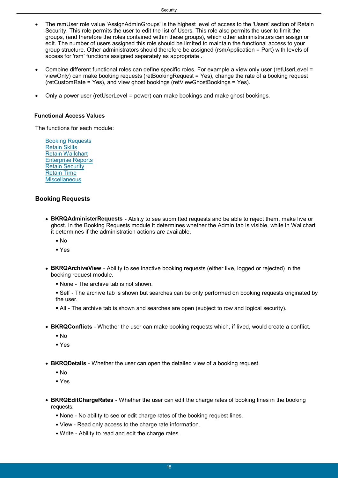- The rsmUser role value 'AssignAdminGroups' is the highest level of access to the 'Users' section of Retain Security. This role permits the user to edit the list of Users. This role also permits the user to limit the groups, (and therefore the roles contained within these groups), which other administrators can assign or edit. The number of users assigned this role should be limited to maintain the functional access to your group structure. Other administrators should therefore be assigned (rsmApplication = Part) with levels of access for 'rsm' functions assigned separately as appropriate .
- Combine different functional roles can define specific roles. For example a view only user (retUserLevel = viewOnly) can make booking requests (retBookingRequest = Yes), change the rate of a booking request (retCustomRate = Yes), and view ghost bookings (retViewGhostBookings = Yes).
- Only a power user (retUserLevel = power) can make bookings and make ghost bookings.

#### <span id="page-17-0"></span>**Functional Access Values**

The functions for each module:

[Booking Requests](#page-17-1) [Retain Skills](#page-18-0) [Retain Wallchart](#page-18-1) [Enterprise Reports](#page-19-0) [Retain Security](#page-19-1) [Retain Time](#page-21-0) **[Miscellaneous](#page-22-0)** 

## **Booking Requests**

- <span id="page-17-1"></span> **BKRQAdministerRequests** - Ability to see submitted requests and be able to reject them, make live or ghost. In the Booking Requests module it determines whether the Admin tab is visible, while in Wallchart it determines if the administration actions are available.
	- $\blacksquare$  No
	- § Yes
- **BKRQArchiveView** Ability to see inactive booking requests (either live, logged or rejected) in the booking request module.
	- § None The archive tab is not shown.
	- § Self The archive tab is shown but searches can be only performed on booking requests originated by the user.
	- All The archive tab is shown and searches are open (subject to row and logical security).
- **BKRQConflicts** Whether the user can make booking requests which, if lived, would create a conflict.
	- § No
	- § Yes
- **BKRQDetails** Whether the user can open the detailed view of a booking request.
	- § No
	- § Yes
- **BKRQEditChargeRates**  Whether the user can edit the charge rates of booking lines in the booking requests.
	- § None No ability to see or edit charge rates of the booking request lines.
	- § View Read only access to the charge rate information.
	- § Write Ability to read and edit the charge rates.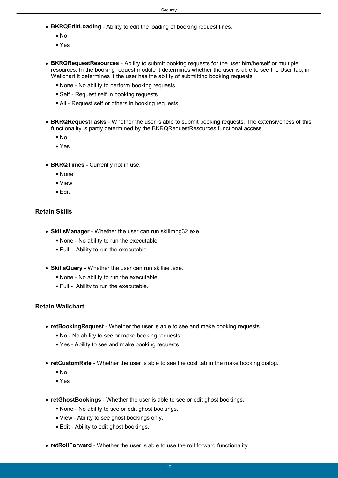- **BKRQEditLoading**  Ability to edit the loading of booking request lines.
	- § No
	- § Yes
- **BKRQRequestResources**  Ability to submit booking requests for the user him/herself or multiple resources. In the booking request module it determines whether the user is able to see the User tab; in Wallchart it determines if the user has the ability of submitting booking requests.
	- § None No ability to perform booking requests.
	- Self Request self in booking requests.
	- All Request self or others in booking requests.
- **BKRQRequestTasks** Whether the user is able to submit booking requests. The extensiveness of this functionality is partly determined by the BKRQRequestResources functional access.
	- § No
	- § Yes
- **BKRQTimes Currently not in use.** 
	- § None
	- § View
	- § Edit

## **Retain Skills**

- <span id="page-18-0"></span> **SkillsManager** - Whether the user can run skillmng32.exe
	- § None No ability to run the executable.
	- § Full Ability to run the executable.
- **SkillsQuery** Whether the user can run skillsel.exe.
	- § None No ability to run the executable.
	- § Full Ability to run the executable.

## **Retain Wallchart**

- <span id="page-18-1"></span> **retBookingRequest** - Whether the user is able to see and make booking requests.
	- § No No ability to see or make booking requests.
	- § Yes Ability to see and make booking requests.
- **retCustomRate** Whether the user is able to see the cost tab in the make booking dialog.
	- $\blacksquare$  No
	- § Yes
- **retGhostBookings** Whether the user is able to see or edit ghost bookings.
	- § None No ability to see or edit ghost bookings.
	- § View Ability to see ghost bookings only.
	- Edit Ability to edit ghost bookings.
- **retRollForward** Whether the user is able to use the roll forward functionality.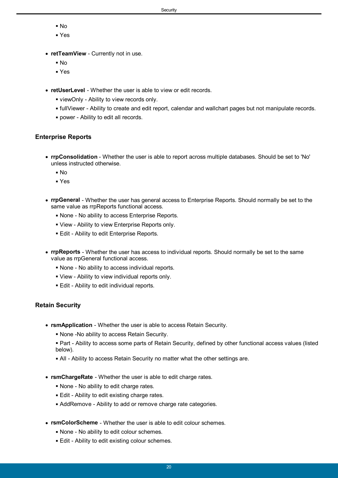- § No
- § Yes
- **retTeamView** Currently not in use.
	- § No
	- § Yes
- **retUserLevel** Whether the user is able to view or edit records.
	- § viewOnly Ability to view records only.
	- § fullViewer Ability to create and edit report, calendar and wallchart pages but not manipulate records.
	- § power Ability to edit all records.

## **Enterprise Reports**

- <span id="page-19-0"></span> **rrpConsolidation** - Whether the user is able to report across multiple databases. Should be set to 'No' unless instructed otherwise.
	- § No
	- § Yes
- **rrpGeneral** Whether the user has general access to Enterprise Reports. Should normally be set to the same value as rrpReports functional access.
	- § None No ability to access Enterprise Reports.
	- § View Ability to view Enterprise Reports only.
	- **Edit Ability to edit Enterprise Reports.**
- **rrpReports** Whether the user has access to individual reports. Should normally be set to the same value as rrpGeneral functional access.
	- § None No ability to access individual reports.
	- § View Ability to view individual reports only.
	- § Edit Ability to edit individual reports.

## **Retain Security**

- <span id="page-19-1"></span> **rsmApplication** - Whether the user is able to access Retain Security.
	- None -No ability to access Retain Security.
	- Part Ability to access some parts of Retain Security, defined by other functional access values (listed below).
	- All Ability to access Retain Security no matter what the other settings are.
- **rsmChargeRate** Whether the user is able to edit charge rates.
	- None No ability to edit charge rates.
	- **Edit Ability to edit existing charge rates.**
	- AddRemove Ability to add or remove charge rate categories.
- **rsmColorScheme** Whether the user is able to edit colour schemes.
	- None No ability to edit colour schemes.
	- Edit Ability to edit existing colour schemes.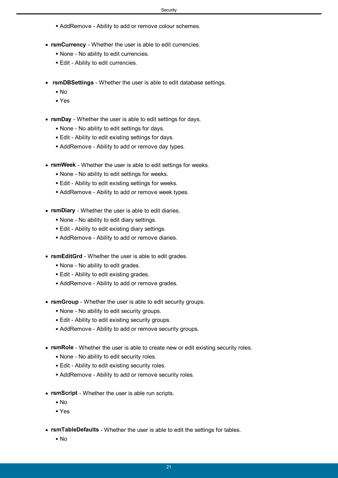- AddRemove Ability to add or remove colour schemes.
- **rsmCurrency** Whether the user is able to edit currencies.
	- None No ability to edit currencies.
	- Edit Ability to edit currencies.
- **rsmDBSettings** Whether the user is able to edit database settings.
	- No
	- Yes
- **rsmDay** Whether the user is able to edit settings for days.
	- None No ability to edit settings for days.
	- **Edit Ability to edit existing settings for days.**
	- AddRemove Ability to add or remove day types.
- **rsmWeek**  Whether the user is able to edit settings for weeks.
	- None No ability to edit settings for weeks.
	- Edit Ability to edit existing settings for weeks.
	- AddRemove Ability to add or remove week types.
- **rsmDiary** Whether the user is able to edit diaries.
	- None No ability to edit diary settings.
	- Edit Ability to edit existing diary settings.
	- AddRemove Ability to add or remove diaries.
- **rsmEditGrd** Whether the user is able to edit grades.
	- None No ability to edit grades.
	- Edit Ability to edit existing grades.
	- AddRemove Ability to add or remove grades.
- **rsmGroup** Whether the user is able to edit security groups.
	- None No ability to edit security groups.
	- **Edit Ability to edit existing security groups.**
	- AddRemove Ability to add or remove security groups.
- **rsmRole** Whether the user is able to create new or edit existing security roles.
	- None No ability to edit security roles.
	- Edit Ability to edit existing security roles.
	- AddRemove Ability to add or remove security roles.
- **rsmScript** Whether the user is able run scripts.
	- $N<sub>0</sub>$
	- Yes
- **rsmTableDefaults** Whether the user is able to edit the settings for tables.
	- No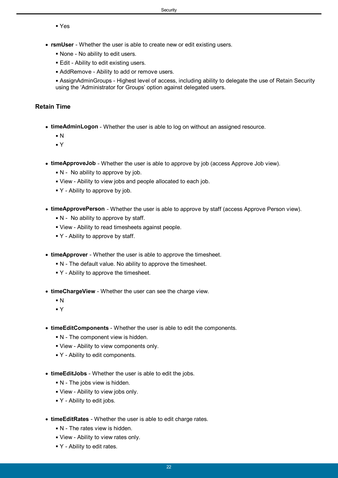Yes

- **rsmUser** Whether the user is able to create new or edit existing users.
	- None No ability to edit users.
	- Edit Ability to edit existing users.
	- AddRemove Ability to add or remove users.

<span id="page-21-0"></span> AssignAdminGroups - Highest level of access, including ability to delegate the use of Retain Security using the 'Administrator for Groups' option against delegated users.

## **Retain Time**

- **timeAdminLogon** Whether the user is able to log on without an assigned resource.
	- N
	- Y
- **timeApproveJob** Whether the user is able to approve by job (access Approve Job view).
	- $\blacksquare$  N No ability to approve by job.
	- View Ability to view jobs and people allocated to each job.
	- $\blacktriangleright$  Y Ability to approve by job.
- **timeApprovePerson** Whether the user is able to approve by staff (access Approve Person view).
	- $\blacksquare$  N No ability to approve by staff.
	- View Ability to read timesheets against people.
	- Y Ability to approve by staff.
- **timeApprover** Whether the user is able to approve the timesheet.
	- N The default value. No ability to approve the timesheet.
	- Y Ability to approve the timesheet.
- **timeChargeView** Whether the user can see the charge view.
	- $\blacksquare$  N
	- Y
- **timeEditComponents** Whether the user is able to edit the components.
	- N The component view is hidden.
	- View Ability to view components only.
	- Y Ability to edit components.
- **timeEditJobs** Whether the user is able to edit the jobs.
	- $\blacksquare$  N The jobs view is hidden.
	- View Ability to view jobs only.
	- Y Ability to edit jobs.
- **timeEditRates** Whether the user is able to edit charge rates.
	- $\blacksquare$  N The rates view is hidden.
	- View Ability to view rates only.
	- Y Ability to edit rates.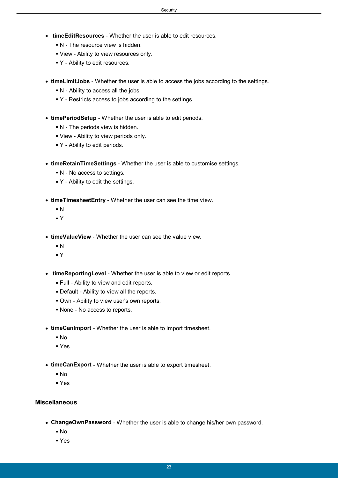- **timeEditResources** Whether the user is able to edit resources.
	- $\blacksquare$  N The resource view is hidden.
	- View Ability to view resources only.
	- Y Ability to edit resources.
- **timeLimitJobs** Whether the user is able to access the jobs according to the settings.
	- § N Ability to access all the jobs.
	- § Y Restricts access to jobs according to the settings.
- **timePeriodSetup** Whether the user is able to edit periods.
	- § N The periods view is hidden.
	- § View Ability to view periods only.
	- Y Ability to edit periods.
- **timeRetainTimeSettings** Whether the user is able to customise settings.
	- § N No access to settings.
	- Y Ability to edit the settings.
- **timeTimesheetEntry** Whether the user can see the time view.
	- § N
	- § Y
- **timeValueView** Whether the user can see the value view.
	- $\blacksquare$  N
	- § Y
- **timeReportingLevel** Whether the user is able to view or edit reports.
	- § Full Ability to view and edit reports.
	- § Default Ability to view all the reports.
	- § Own Ability to view user's own reports.
	- § None No access to reports.
- **timeCanImport** Whether the user is able to import timesheet.
	- § No
	- § Yes
- **timeCanExport** Whether the user is able to export timesheet.
	- $\blacksquare$  No
	- § Yes

## **Miscellaneous**

- <span id="page-22-0"></span> **ChangeOwnPassword** - Whether the user is able to change his/her own password.
	- § No
	- § Yes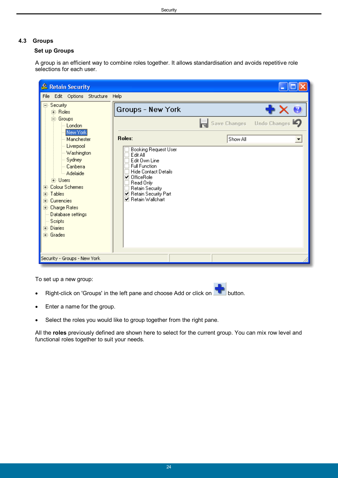## <span id="page-23-0"></span>**4.3 Groups**

## **Set up Groups**

A group is an efficient way to combine roles together. It allows standardisation and avoids repetitive role selections for each user.

| & Retain Security                                                                                                                                                                                                                                              |                                                                                                                                                                                                                                           |              |              |
|----------------------------------------------------------------------------------------------------------------------------------------------------------------------------------------------------------------------------------------------------------------|-------------------------------------------------------------------------------------------------------------------------------------------------------------------------------------------------------------------------------------------|--------------|--------------|
| Edit Options Structure Help<br>File                                                                                                                                                                                                                            |                                                                                                                                                                                                                                           |              |              |
| Security<br>$\Box$<br>由· Roles                                                                                                                                                                                                                                 | Groups - New York                                                                                                                                                                                                                         |              |              |
| 白· Groups<br>-- London                                                                                                                                                                                                                                         |                                                                                                                                                                                                                                           | Save Changes | Undo Changes |
| New York<br>Manchester                                                                                                                                                                                                                                         | Roles:                                                                                                                                                                                                                                    | Show All     |              |
| -- Liverpool<br>-- Washington<br>Sydney<br>Canberra<br>Adelaide<br><b>i∓</b> Users<br><b>Colour Schemes</b><br>$+$<br>- Tables<br>Ė<br>Currencies<br>$\overline{+}$<br>中 Charge Rates<br>Database settings<br>Scripts<br>मे⊹ Diaries<br>मे <sub>"</sub> Grades | <b>Booking Request User</b><br>Edit All<br>Edit Own Line<br><b>Full Function</b><br><b>Hide Contact Details</b><br><b>☑</b> OfficeRole<br>Read Only<br>Retain Security<br>☑ Retain Security Part<br>$\blacktriangledown$ Retain Wallchart |              |              |
| Security - Groups - New York                                                                                                                                                                                                                                   |                                                                                                                                                                                                                                           |              |              |

To set up a new group:

- Right-click on 'Groups' in the left pane and choose Add or click on
- Enter a name for the group.
- Select the roles you would like to group together from the right pane.

All the **roles** previously defined are shown here to select for the current group. You can mix row level and functional roles together to suit your needs.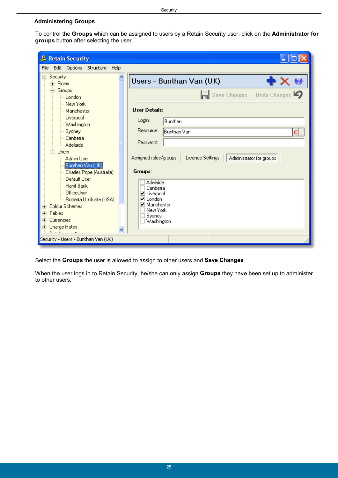## <span id="page-24-0"></span>**Administering Groups**

To control the **Groups** which can be assigned to users by a Retain Security user, click on the **Administrator for groups** button after selecting the user.

| & Retain Security                                            |                                                                       |
|--------------------------------------------------------------|-----------------------------------------------------------------------|
| Edit Options Structure Help<br>File                          |                                                                       |
| ⊟- Security:<br><b>i∓</b> Roles                              | Users - Bunthan Van (UK)                                              |
| 白· Groups<br>London                                          | Save Changes<br>Undo Changes $\Box$                                   |
| New York<br>Manchester                                       | <b>User Details:</b>                                                  |
| -- Liverpool<br>-- Washington                                | Login:<br>Bunthan                                                     |
| Sydney<br>Canberra<br><sup>i</sup> … Adelaide                | Resource:<br>Bunthan Van<br>C <br>Password:                           |
| <b>i</b> ⊟∝Users<br>Admin User                               | Licence Settings<br>Administrator for groups<br>Assigned roles/groups |
| Bunthan Van (UK)<br>Charles Pope (Australia)<br>Default User | Groups:                                                               |
| Hanif Barik<br>OfficeUser<br>Roberta Umikaite (USA)          | Adelaide<br>Canberra<br>⊻ Liverpool<br>$\blacktriangledown$ London    |
| मे- Colour Schemes<br>मे <sub>"</sub> Tables                 | Manchester<br>New York<br>Sydney                                      |
| मे⊹ Currencies<br>国 Charge Rates<br><b>Notebook</b> contains | Washington                                                            |
| Security - Users - Bunthan Van (UK)                          |                                                                       |

Select the **Groups** the user is allowed to assign to other users and **Save Changes**.

When the user logs in to Retain Security, he/she can only assign **Groups** they have been set up to administer to other users.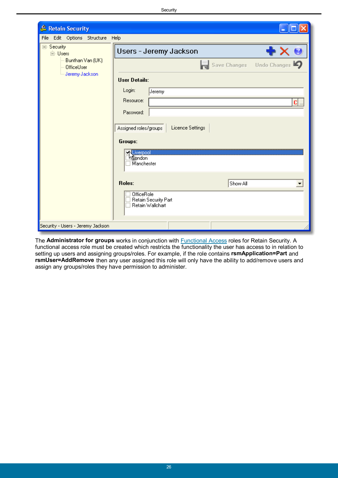**Security** 

| & Retain Security                   |                                                        |
|-------------------------------------|--------------------------------------------------------|
| Edit Options Structure Help<br>File |                                                        |
| ⊟-Security<br>⊟-Users               | Users - Jeremy Jackson<br>X O<br>÷                     |
| Bunthan Van (UK)<br>OfficeUser      | Save Changes Undo Changes                              |
| - Jeremy Jackson                    | <b>User Details:</b>                                   |
|                                     | Login:<br>Jeremy                                       |
|                                     | Resource:<br>c                                         |
|                                     | Password:                                              |
|                                     | Licence Settings<br>Assigned roles/groups              |
|                                     | Groups:                                                |
|                                     | <b>KLiverpool</b><br>Livendon                          |
|                                     | Manchester                                             |
|                                     | Roles:<br>Show All                                     |
|                                     | OfficeRole<br>Retain Security Part<br>Retain Wallchart |
| Security - Users - Jeremy Jackson   |                                                        |

The **Administrator for groups** works in conjunction with [Functional Access](#page-16-0) roles for Retain Security. A functional access role must be created which restricts the functionality the user has access to in relation to setting up users and assigning groups/roles. For example, if the role contains **rsmApplication=Part** and **rsmUser=AddRemove** then any user assigned this role will only have the ability to add/remove users and assign any groups/roles they have permission to administer.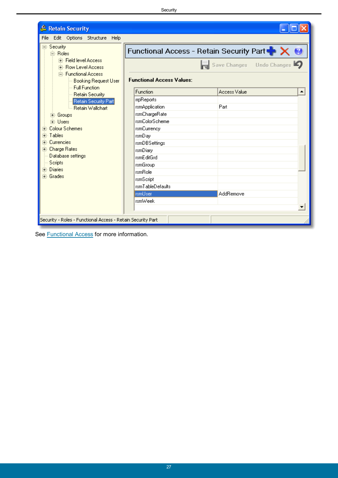| & Retain Security                                                  |                                                                |                          |  |  |  |  |  |
|--------------------------------------------------------------------|----------------------------------------------------------------|--------------------------|--|--|--|--|--|
| Edit Options Structure Help<br>File                                |                                                                |                          |  |  |  |  |  |
| ⊟- Security<br><b>E</b> ⊪ Roles                                    | Functional Access - Retain Security Part $\blacktriangleright$ |                          |  |  |  |  |  |
| 中 Field level Access<br>中 Row Level Access                         | Save Changes Undo Changes                                      |                          |  |  |  |  |  |
| 白 Functional Access<br>-- Booking Request User<br>-- Full Function | <b>Functional Access Values:</b>                               |                          |  |  |  |  |  |
| - Retain Security                                                  | Function                                                       | <b>Access Value</b><br>▲ |  |  |  |  |  |
| Retain Security Part                                               | rrpReports                                                     |                          |  |  |  |  |  |
| - Retain Wallchart                                                 | rsmApplication                                                 | Part                     |  |  |  |  |  |
| 由 Groups                                                           | rsmChargeRate                                                  |                          |  |  |  |  |  |
| Fi-Lisers                                                          | rsmColorScheme                                                 |                          |  |  |  |  |  |
| <b>Colour Schemes</b><br>F                                         | rsmCurrency                                                    |                          |  |  |  |  |  |
| - Tables<br>FF                                                     | rsmD ay                                                        |                          |  |  |  |  |  |
| <b>Currencies</b>                                                  | rsmDBSettings                                                  |                          |  |  |  |  |  |
| 由 Charge Rates                                                     | rsmDiary                                                       |                          |  |  |  |  |  |
| Database settings                                                  | rsmE ditGrd                                                    |                          |  |  |  |  |  |
| Scripts<br>中· Diaries                                              | rsmGroup                                                       |                          |  |  |  |  |  |
| मे <sub>"</sub> Grades                                             | rsmRole                                                        |                          |  |  |  |  |  |
|                                                                    | rsmScript                                                      |                          |  |  |  |  |  |
|                                                                    | rsmTableDefaults                                               |                          |  |  |  |  |  |
|                                                                    | <b>rsmUser</b>                                                 | AddRemove                |  |  |  |  |  |
|                                                                    | rsmWeek                                                        |                          |  |  |  |  |  |
|                                                                    |                                                                |                          |  |  |  |  |  |
| Security - Roles - Functional Access - Retain Security Part        |                                                                |                          |  |  |  |  |  |

See **Functional Access** for more information.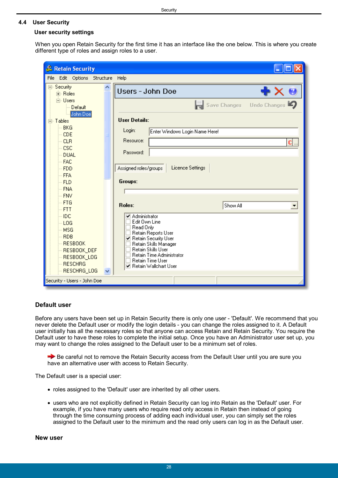### <span id="page-27-0"></span>**4.4 User Security**

#### **User security settings**

When you open Retain Security for the first time it has an interface like the one below. This is where you create different type of roles and assign roles to a user.

| & Retain Security                                                                                                              |  |                                                                                                                                                                                                                                         |                           |  |  |  |  |  |
|--------------------------------------------------------------------------------------------------------------------------------|--|-----------------------------------------------------------------------------------------------------------------------------------------------------------------------------------------------------------------------------------------|---------------------------|--|--|--|--|--|
| Edit Options Structure Help<br>File                                                                                            |  |                                                                                                                                                                                                                                         |                           |  |  |  |  |  |
| ⊟- Security<br>由 Roles                                                                                                         |  | Users - John Doe                                                                                                                                                                                                                        | + X a                     |  |  |  |  |  |
| <b>i</b> <sup>-</sup> Users<br>-- Default                                                                                      |  |                                                                                                                                                                                                                                         | Save Changes Undo Changes |  |  |  |  |  |
| John Doe<br>⊟- Tables                                                                                                          |  | <b>User Details:</b>                                                                                                                                                                                                                    |                           |  |  |  |  |  |
| <b>BKG</b><br>CDE                                                                                                              |  | Login:<br>Enter Windows Login Name Here!<br>Resource:                                                                                                                                                                                   |                           |  |  |  |  |  |
| <b>CLR</b><br><b>CSC</b><br><b>DUAL</b>                                                                                        |  | Password:                                                                                                                                                                                                                               | C                         |  |  |  |  |  |
| <b>FAC</b><br><b>FDD</b>                                                                                                       |  | Licence Settings<br>Assigned roles/groups                                                                                                                                                                                               |                           |  |  |  |  |  |
| <b>FFA</b><br><b>FLD</b>                                                                                                       |  | Groups:                                                                                                                                                                                                                                 |                           |  |  |  |  |  |
| <b>FNA</b><br><b>FNV</b>                                                                                                       |  |                                                                                                                                                                                                                                         |                           |  |  |  |  |  |
| <b>FTG</b><br><b>FTT</b>                                                                                                       |  | Roles:<br>Show All                                                                                                                                                                                                                      | $\blacktriangledown$      |  |  |  |  |  |
| <b>IDC</b><br>LOG<br><b>MSG</b><br><b>RDB</b><br><b>RESBOOK</b><br>RESBOOK_DEF<br>RESBOOK_LOG<br><b>RESCHRG</b><br>RESCHRG_LOG |  | ✔ Administrator<br>Edit Own Line<br>Read Only<br>Retain Reports User<br>☑ Retain Security User<br>Retain Skills Manager<br>Retain Skills User<br><b>Retain Time Administrator</b><br><b>Retain Time User</b><br>☑ Retain Wallchart User |                           |  |  |  |  |  |
| Security - Users - John Doe                                                                                                    |  |                                                                                                                                                                                                                                         |                           |  |  |  |  |  |

## **Default user**

Before any users have been set up in Retain Security there is only one user - 'Default'. We recommend that you never delete the Default user or modify the login details - you can change the roles assigned to it. A Default user initially has all the necessary roles so that anyone can access Retain and Retain Security. You require the Default user to have these roles to complete the initial setup. Once you have an Administrator user set up, you may want to change the roles assigned to the Default user to be a minimum set of roles.

Be careful not to remove the Retain Security access from the Default User until you are sure you have an alternative user with access to Retain Security.

The Default user is a special user:

- roles assigned to the 'Default' user are inherited by all other users.
- users who are not explicitly defined in Retain Security can log into Retain as the 'Default' user. For example, if you have many users who require read only access in Retain then instead of going through the time consuming process of adding each individual user, you can simply set the roles assigned to the Default user to the minimum and the read only users can log in as the Default user.

**New user**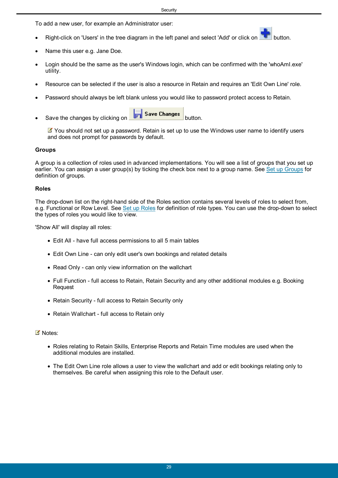To add a new user, for example an Administrator user:

- Right-click on 'Users' in the tree diagram in the left panel and select 'Add' or click on **button**.
- Name this user e.g. Jane Doe.
- Login should be the same as the user's Windows login, which can be confirmed with the 'whoAmI.exe' utility.
- Resource can be selected if the user is also a resource in Retain and requires an 'Edit Own Line' role.
- Password should always be left blank unless you would like to password protect access to Retain.
- Save the changes by clicking on **Fig. 3** Save Changes button.

You should not set up a password. Retain is set up to use the Windows user name to identify users and does not prompt for passwords by default.

### **Groups**

A group is a collection of roles used in advanced implementations. You will see a list of groups that you set up earlier. You can assign a user group(s) by ticking the check box next to a group name. See [Set up Groups](#page-23-0) for definition of groups.

#### **Roles**

The drop-down list on the right-hand side of the Roles section contains several levels of roles to select from, e.g. Functional or Row Level. See [Set up Roles](#page-11-1) for definition of role types. You can use the drop-down to select the types of roles you would like to view.

'Show All' will display all roles:

- Edit All have full access permissions to all 5 main tables
- Edit Own Line can only edit user's own bookings and related details
- Read Only can only view information on the wallchart
- Full Function full access to Retain, Retain Security and any other additional modules e.g. Booking Request
- Retain Security full access to Retain Security only
- Retain Wallchart full access to Retain only

#### ■ Notes:

- Roles relating to Retain Skills, Enterprise Reports and Retain Time modules are used when the additional modules are installed.
- The Edit Own Line role allows a user to view the wallchart and add or edit bookings relating only to themselves. Be careful when assigning this role to the Default user.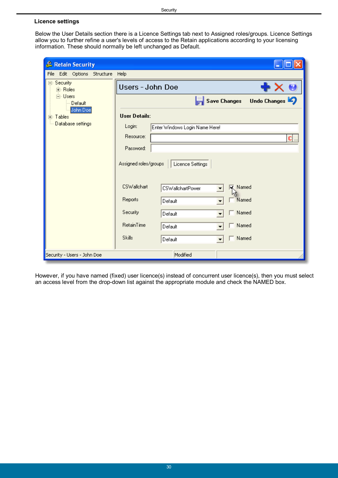### <span id="page-29-0"></span>**Licence settings**

Below the User Details section there is a Licence Settings tab next to Assigned roles/groups. Licence Settings allow you to further refine a user's levels of access to the Retain applications according to your licensing information. These should normally be left unchanged as Default.

| & Retain Security                    |                                                          |
|--------------------------------------|----------------------------------------------------------|
| Edit Options<br>File<br>Structure    | Help                                                     |
| Security<br>⊟…<br>मे∘ Roles          | Users - John Doe<br>B                                    |
| <b>⊟</b> Users<br>Default            | Undo Changes<br><b>Save Changes</b>                      |
| John Doe<br>Tables<br>$\overline{+}$ | <b>User Details:</b>                                     |
| Database settings                    | Login:<br>Enter Windows Login Name Here!                 |
|                                      | Resource:<br>$\mathbf{C}$                                |
|                                      | Password:                                                |
|                                      | Assigned roles/groups<br>Licence Settings                |
|                                      | <b>CSWallchart</b><br><b>K</b> Named<br>CSWallchartPower |
|                                      | Reports<br>Named<br>Default                              |
|                                      | Security<br>Named<br>Default                             |
|                                      | RetainTime<br>Named<br>Default                           |
|                                      | <b>Skills</b><br>Named<br>Default                        |
| Security - Users - John Doe          | Modified                                                 |

However, if you have named (fixed) user licence(s) instead of concurrent user licence(s), then you must select an access level from the drop-down list against the appropriate module and check the NAMED box.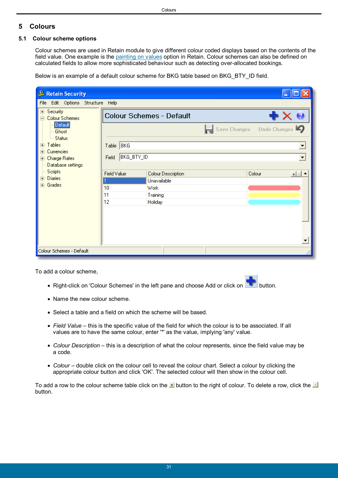## <span id="page-30-0"></span>**5 Colours**

## **5.1 Colour scheme options**

Colour schemes are used in Retain module to give different colour coded displays based on the contents of the field value. One example is the [painting on values](#page-31-0) option in Retain. Colour schemes can also be defined on calculated fields to allow more sophisticated behaviour such as detecting over-allocated bookings.

Below is an example of a default colour scheme for BKG table based on BKG\_BTY\_ID field.

| & Retain Security                                            |             |                          |              |                     |  |  |  |  |
|--------------------------------------------------------------|-------------|--------------------------|--------------|---------------------|--|--|--|--|
| Edit Options Structure Help<br>File                          |             |                          |              |                     |  |  |  |  |
| ⊞- Security<br><b>E</b> - Colour Schemes                     |             | Colour Schemes - Default |              |                     |  |  |  |  |
| Default<br>Ghost                                             |             |                          | Save Changes | Undo Changes $\Box$ |  |  |  |  |
| └─ Status<br>国·Tables<br><b>Currencies</b><br>F <sub>1</sub> | Table BKG   |                          |              |                     |  |  |  |  |
| 中 Charge Rates<br>Database settings                          | Field       | BKG_BTY_ID               |              | ▼                   |  |  |  |  |
| Scripts                                                      | Field Value | Colour Description       |              | Colour<br>$+1$      |  |  |  |  |
| <b>E</b> Diaries<br>由 Grades                                 |             | Unavailable              |              |                     |  |  |  |  |
|                                                              | 10          | Work                     |              |                     |  |  |  |  |
|                                                              | 11<br>12    | Training                 |              |                     |  |  |  |  |
|                                                              |             | Holiday                  |              |                     |  |  |  |  |
|                                                              |             |                          |              |                     |  |  |  |  |
|                                                              |             |                          |              |                     |  |  |  |  |
|                                                              |             |                          |              |                     |  |  |  |  |
| Colour Schemes - Default                                     |             |                          |              |                     |  |  |  |  |

To add a colour scheme,

- Right-click on 'Colour Schemes' in the left pane and choose Add or click on **button**.
- Name the new colour scheme.
- Select a table and a field on which the scheme will be based.
- *Field Value* this is the specific value of the field for which the colour is to be associated. If all values are to have the same colour, enter '\*' as the value, implying 'any' value.
- *Colour Description* this is a description of what the colour represents, since the field value may be a code.
- *Colour* double click on the colour cell to reveal the colour chart. Select a colour by clicking the appropriate colour button and click 'OK'. The selected colour will then show in the colour cell.

To add a row to the colour scheme table click on the  $\pm$  button to the right of colour. To delete a row, click the  $\pm$ button.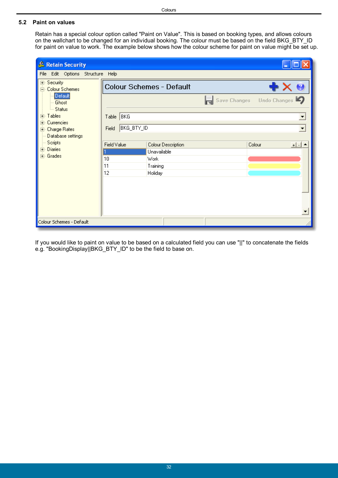## <span id="page-31-0"></span>**5.2 Paint on values**

Retain has a special colour option called "Paint on Value". This is based on booking types, and allows colours on the wallchart to be changed for an individual booking. The colour must be based on the field BKG\_BTY\_ID for paint on value to work. The example below shows how the colour scheme for paint on value might be set up.

| & Retain Security                         |             |                          |                    |  |                           |                      |  |  |  |
|-------------------------------------------|-------------|--------------------------|--------------------|--|---------------------------|----------------------|--|--|--|
| Edit Options Structure<br>File            | Help        |                          |                    |  |                           |                      |  |  |  |
| ⊞- Security<br><b>Colour Schemes</b><br>Ė |             | Colour Schemes - Default |                    |  |                           |                      |  |  |  |
| Default<br>Ghost<br>--- Status            |             |                          |                    |  | Save Changes Undo Changes |                      |  |  |  |
| 国·Tables<br>Currencies<br>中               | Table BKG   |                          |                    |  |                           | ▼                    |  |  |  |
| 中 Charge Rates<br>Database settings       | Field       | BKG_BTY_ID               |                    |  |                           | $\blacktriangledown$ |  |  |  |
| Scripts                                   | Field Value |                          | Colour Description |  | Colour                    | $+ $ .               |  |  |  |
| - Diaries<br>中<br>由 Grades                |             |                          | Unavailable        |  |                           |                      |  |  |  |
|                                           | 10          |                          | Work               |  |                           |                      |  |  |  |
|                                           | 11          |                          | Training           |  |                           |                      |  |  |  |
|                                           | 12          |                          | Holiday            |  |                           |                      |  |  |  |
|                                           |             |                          |                    |  |                           |                      |  |  |  |
|                                           |             |                          |                    |  |                           |                      |  |  |  |
|                                           |             |                          |                    |  |                           |                      |  |  |  |
| Colour Schemes - Default                  |             |                          |                    |  |                           |                      |  |  |  |

If you would like to paint on value to be based on a calculated field you can use "||" to concatenate the fields e.g. "BookingDisplay||BKG\_BTY\_ID" to be the field to base on.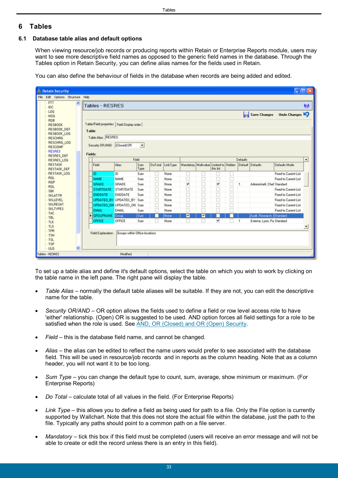## <span id="page-32-0"></span>**6 Tables**

## **6.1 Database table alias and default options**

When viewing resource/job records or producing reports within Retain or Enterprise Reports module, users may want to see more descriptive field names as opposed to the generic field names in the database. Through the Tables option in Retain Security, you can define alias names for the fields used in Retain.

You can also define the behaviour of fields in the database when records are being added and edited.

| & Retain Security                        |                                              |                                |                          |   |                  |                      |                                        |              |        |              |                              |                       | $\Box$ ok                |
|------------------------------------------|----------------------------------------------|--------------------------------|--------------------------|---|------------------|----------------------|----------------------------------------|--------------|--------|--------------|------------------------------|-----------------------|--------------------------|
| Edit Options Structure Help<br>File      |                                              |                                |                          |   |                  |                      |                                        |              |        |              |                              |                       |                          |
| <b>FTT</b><br>$\hat{\phantom{a}}$<br>IDC | Tables - RESRES                              |                                |                          |   |                  |                      |                                        |              |        |              |                              |                       | Ø                        |
| LOG<br><b>MSG</b>                        |                                              |                                |                          |   |                  |                      |                                        |              |        |              | <b>Save Changes</b>          | Undo Changes          |                          |
| RDB<br><b>RESBOOK</b>                    | Table/Field properties   Field Display order |                                |                          |   |                  |                      |                                        |              |        |              |                              |                       |                          |
| RESBOOK DEF                              | Table:                                       |                                |                          |   |                  |                      |                                        |              |        |              |                              |                       |                          |
| RESBOOK LOG                              |                                              |                                |                          |   |                  |                      |                                        |              |        |              |                              |                       |                          |
| <b>RESCHRG</b>                           | Table Alias: RESRES                          |                                |                          |   |                  |                      |                                        |              |        |              |                              |                       |                          |
| RESCHRG_LOG<br><b>RESCOMP</b>            | Security OR/AND                              | [Closed] OR                    | $\overline{\phantom{a}}$ |   |                  |                      |                                        |              |        |              |                              |                       |                          |
| <b>RESRES</b>                            |                                              |                                |                          |   |                  |                      |                                        |              |        |              |                              |                       |                          |
| <b>RESRES DEF</b>                        | Fields:                                      |                                |                          |   |                  |                      |                                        |              |        |              |                              |                       |                          |
| RESRES LOG<br><b>RESTASK</b>             |                                              | Alias                          | Field<br>Sum             |   | DoTotal LinkTupe |                      | Mandatory Multivalue Limited to Hidden |              |        | Defaults     | Default Defaults             | Defaults Mode         | $\blacktriangle$         |
| RESTASK_DEF                              | Field                                        |                                | Type                     |   |                  |                      |                                        | this list    |        |              |                              |                       |                          |
| RESTASK_LOG                              | ID                                           | ID                             | Sum                      | п | None             | □                    | u                                      |              | u      |              |                              | Fixed to Current List |                          |
| RGL                                      | <b>NAME</b>                                  | <b>NAME</b>                    | Sum                      |   | None             | о                    |                                        |              |        |              |                              | Fixed to Current List |                          |
| <b>RGP</b><br>ROL                        | <b>GRADE</b>                                 | <b>GRADE</b>                   | Sum                      | □ | None             | $\blacktriangledown$ | ō                                      | Y            | □      | $\mathbf{1}$ | Administratif, Chef Standard |                       |                          |
| <b>SBK</b>                               | <b>STARTDATE</b>                             | STARTDATE                      | Sum                      | □ | None             | c                    | ō                                      | ō            | ப      |              |                              | Fixed to Current List |                          |
| <b>SKLATTR</b>                           | <b>ENDDATE</b>                               | ENDDATE                        | Sum                      | □ | None             | П                    | □                                      | $\Box$       | □      |              |                              | Fixed to Current List |                          |
| SKLLEVEL                                 |                                              | UPDATED_BY UPDATED_BY Sum      |                          | □ | None             | □                    |                                        | $\Box$       |        |              |                              | Fixed to Current List |                          |
| <b>SKLRESAT</b>                          |                                              | UPDATED_ON UPDATED_ON Sum      |                          | □ | None             | c                    | ō                                      | Ċ            | $\Box$ |              |                              | Fixed to Current List |                          |
| <b>SKLTYPES</b><br><b>TAC</b>            | <b>EMAIL</b>                                 | <b>EMAIL</b>                   | Sum                      | П | None             |                      |                                        |              |        |              |                              | Fixed to Current List |                          |
| <b>TBL</b>                               | Ы<br><b>GROUPNAME</b> Group                  |                                | Sum                      |   | None             | ◛                    | M                                      |              |        |              | Audit, Research, I Standard  |                       |                          |
| <b>TLK</b>                               | OFFICE                                       | <b>OFFICE</b>                  | Sum                      |   | None             |                      |                                        | $\checkmark$ |        | 1            | Externe, Lyon, Pa Standard   |                       |                          |
| <b>TLS</b>                               |                                              |                                |                          |   |                  |                      |                                        |              |        |              |                              |                       | $\overline{\phantom{a}}$ |
| TPR<br><b>TSH</b>                        | Field Explanation:                           | Groups within Office locations |                          |   |                  |                      |                                        |              |        |              |                              |                       |                          |
| <b>TSL</b>                               |                                              |                                |                          |   |                  |                      |                                        |              |        |              |                              |                       |                          |
| TSP                                      |                                              |                                |                          |   |                  |                      |                                        |              |        |              |                              |                       |                          |
| $\checkmark$<br><b>ULG</b>               |                                              |                                |                          |   |                  |                      |                                        |              |        |              |                              |                       |                          |
| Tables - RESRES                          |                                              | Modified                       |                          |   |                  |                      |                                        |              |        |              |                              |                       |                          |

To set up a table alias and define it's default options, select the table on which you wish to work by clicking on the table name in the left pane. The right pane will display the table.

- *Table Alias* normally the default table aliases will be suitable. If they are not, you can edit the descriptive name for the table.
- *Security OR/AND* OR option allows the fields used to define a field or row level access role to have 'either' relationship. (Open) OR is suggested to be used. AND option forces all field settings for a role to be satisfied when the role is used. See [AND, OR \(Closed\) and OR \(Open\) Security.](#page-34-0)
- *Field* this is the database field name, and cannot be changed.
- *Alias* the alias can be edited to reflect the name users would prefer to see associated with the database field. This will be used in resource/job records and in reports as the column heading. Note that as a column header, you will not want it to be too long.
- *Sum Type* you can change the default type to count, sum, average, show minimum or maximum. (For Enterprise Reports)
- *Do Total* calculate total of all values in the field. (For Enterprise Reports)
- *Link Type*  this allows you to define a field as being used for path to a file. Only the File option is currently supported by Wallchart. Note that this does not store the actual file within the database, just the path to the file. Typically any paths should point to a common path on a file server.
- *Mandatory* tick this box if this field must be completed (users will receive an error message and will not be able to create or edit the record unless there is an entry in this field).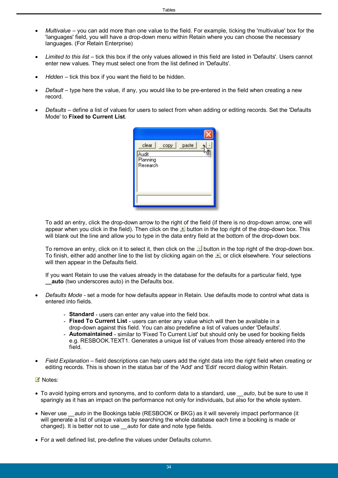- *Multivalue*  you can add more than one value to the field. For example, ticking the 'multivalue' box for the 'languages' field, you will have a drop-down menu within Retain where you can choose the necessary languages. (For Retain Enterprise)
- *Limited to this list* tick this box if the only values allowed in this field are listed in 'Defaults'. Users cannot enter new values. They must select one from the list defined in 'Defaults'.
- *Hidden* tick this box if you want the field to be hidden.
- *Default* type here the value, if any, you would like to be pre-entered in the field when creating a new record.
- *Defaults* define a list of values for users to select from when adding or editing records. Set the 'Defaults Mode' to **Fixed to Current List**.

To add an entry, click the drop-down arrow to the right of the field (if there is no drop-down arrow, one will appear when you click in the field). Then click on the  $\pm$  button in the top right of the drop-down box. This will blank out the line and allow you to type in the data entry field at the bottom of the drop-down box.

To remove an entry, click on it to select it, then click on the  $\blacksquare$  button in the top right of the drop-down box. To finish, either add another line to the list by clicking again on the  $\pm$ , or click elsewhere. Your selections will then appear in the Defaults field.

If you want Retain to use the values already in the database for the defaults for a particular field, type **\_\_auto** (two underscores auto) in the Defaults box.

- *Defaults Mode* set a mode for how defaults appear in Retain. Use defaults mode to control what data is entered into fields.
	- **Standard** users can enter any value into the field box.
	- **Fixed To Current List** users can enter any value which will then be available in a drop-down against this field. You can also predefine a list of values under 'Defaults'.
	- **Automaintained** similar to 'Fixed To Current List' but should only be used for booking fields e.g. RESBOOK.TEXT1. Generates a unique list of values from those already entered into the field.
- *Field Explanation* field descriptions can help users add the right data into the right field when creating or editing records. This is shown in the status bar of the 'Add' and 'Edit' record dialog within Retain.
- Notes:
- To avoid typing errors and synonyms, and to conform data to a standard, use *auto*, but be sure to use it sparingly as it has an impact on the performance not only for individuals, but also for the whole system.
- Never use *auto* in the Bookings table (RESBOOK or BKG) as it will severely impact performance (it will generate a list of unique values by searching the whole database each time a booking is made or changed). It is better not to use *auto* for date and note type fields.
- For a well defined list, pre-define the values under Defaults column.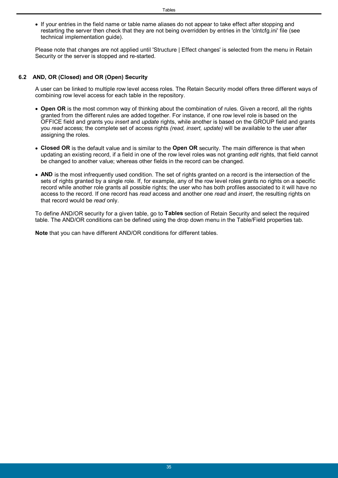• If your entries in the field name or table name aliases do not appear to take effect after stopping and restarting the server then check that they are not being overridden by entries in the 'clntcfg.ini' file (see technical implementation guide).

Please note that changes are not applied until 'Structure | Effect changes' is selected from the menu in Retain Security or the server is stopped and re-started.

#### <span id="page-34-0"></span>**6.2 AND, OR (Closed) and OR (Open) Security**

A user can be linked to multiple row level access roles. The Retain Security model offers three different ways of combining row level access for each table in the repository.

- **Open OR** is the most common way of thinking about the combination of rules. Given a record, all the rights granted from the different rules are added together. For instance, if one row level role is based on the OFFICE field and grants you *insert* and *update* rights, while another is based on the GROUP field and grants you *read* access; the complete set of access rights *(read, insert, update)* will be available to the user after assigning the roles.
- **Closed OR** is the default value and is similar to the **Open OR** security. The main difference is that when updating an existing record, if a field in one of the row level roles was not granting *edit* rights, that field cannot be changed to another value; whereas other fields in the record can be changed.
- **AND** is the most infrequently used condition. The set of rights granted on a record is the intersection of the sets of rights granted by a single role. If, for example, any of the row level roles grants no rights on a specific record while another role grants all possible rights; the user who has both profiles associated to it will have no access to the record. If one record has *read* access and another one *read* and *insert*, the resulting rights on that record would be *read* only.

To define AND/OR security for a given table, go to **Tables** section of Retain Security and select the required table. The AND/OR conditions can be defined using the drop down menu in the Table/Field properties tab.

**Note** that you can have different AND/OR conditions for different tables.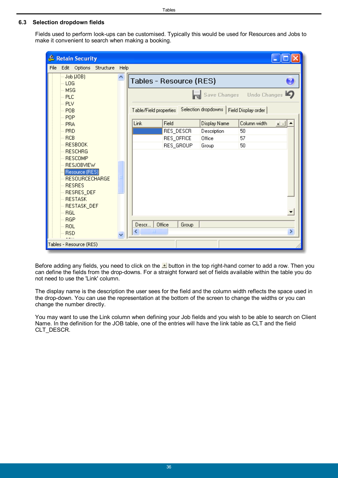## <span id="page-35-0"></span>**6.3 Selection dropdown fields**

Fields used to perform look-ups can be customised. Typically this would be used for Resources and Jobs to make it convenient to search when making a booking.

| & Retain Security                       |       |                         |                     |                     |              |  |  |  |
|-----------------------------------------|-------|-------------------------|---------------------|---------------------|--------------|--|--|--|
| File<br>Edit Options<br>Structure       | Help  |                         |                     |                     |              |  |  |  |
| Job (JOB)<br>LOG <sub></sub>            | ۸     | Tables - Resource (RES) |                     |                     |              |  |  |  |
| <b>MSG</b><br><b>PLC</b><br>PLV         |       |                         | Save Changes        |                     | Undo Changes |  |  |  |
| POB<br><b>POP</b>                       |       | Table/Field properties  | Selection dropdowns | Field Display order |              |  |  |  |
| PRA                                     | Link  | Field                   | Display Name        | Column width        | $+$ $-$      |  |  |  |
| <b>PRD</b>                              |       | RES_DESCR               | Description         | 50                  |              |  |  |  |
| <b>RCB</b>                              |       | RES_OFFICE              | Office              | 57                  |              |  |  |  |
| <b>RESBOOK</b>                          |       | RES_GROUP               | Group               | 50                  |              |  |  |  |
| <b>RESCHRG</b>                          |       |                         |                     |                     |              |  |  |  |
| <b>RESCOMP</b>                          |       |                         |                     |                     |              |  |  |  |
| <b>RESJOBVIEW</b>                       |       |                         |                     |                     |              |  |  |  |
| Resource (RES)<br><b>RESOURCECHARGE</b> |       |                         |                     |                     |              |  |  |  |
| <b>RESRES</b>                           |       |                         |                     |                     |              |  |  |  |
| RESRES_DEF                              |       |                         |                     |                     |              |  |  |  |
| <b>RESTASK</b>                          |       |                         |                     |                     |              |  |  |  |
| RESTASK_DEF                             |       |                         |                     |                     |              |  |  |  |
| RGL                                     |       |                         |                     |                     |              |  |  |  |
| <b>RGP</b>                              |       |                         |                     |                     |              |  |  |  |
| ROL                                     | Descr | Office<br>Group         |                     |                     |              |  |  |  |
| <b>RSD</b>                              | ≺     | ШI                      |                     |                     | ×            |  |  |  |
| Tables - Resource (RES)                 |       |                         |                     |                     |              |  |  |  |

Before adding any fields, you need to click on the **button in the top right-hand corner to add a row**. Then you can define the fields from the drop-downs. For a straight forward set of fields available within the table you do not need to use the 'Link' column.

The display name is the description the user sees for the field and the column width reflects the space used in the drop-down. You can use the representation at the bottom of the screen to change the widths or you can change the number directly.

You may want to use the Link column when defining your Job fields and you wish to be able to search on Client Name. In the definition for the JOB table, one of the entries will have the link table as CLT and the field CLT\_DESCR.

Tables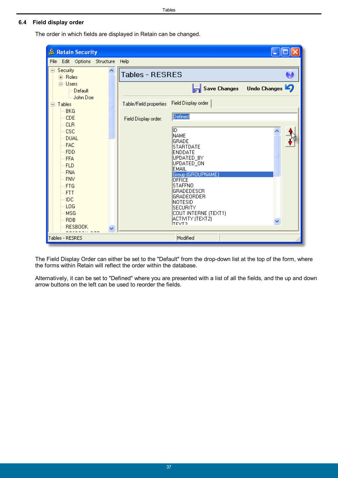#### Tables

### <span id="page-36-0"></span>**6.4 Field display order**

The order in which fields are displayed in Retain can be changed.



The Field Display Order can either be set to the "Default" from the drop-down list at the top of the form, where the forms within Retain will reflect the order within the database.

Alternatively, it can be set to "Defined" where you are presented with a list of all the fields, and the up and down arrow buttons on the left can be used to reorder the fields.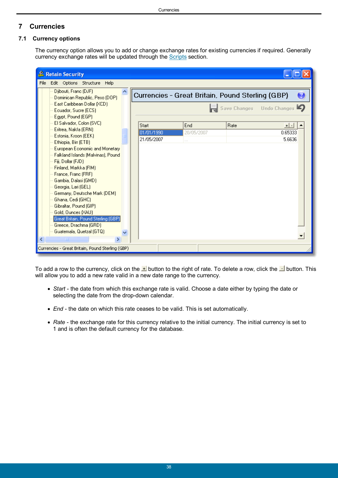## <span id="page-37-0"></span>**7 Currencies**

## **7.1 Currency options**

The currency option allows you to add or change exchange rates for existing currencies if required. Generally currency exchange rates will be updated through the [Scripts](#page-46-0) section.

| & Retain Security                                        |                                                  |            |      |                           |
|----------------------------------------------------------|--------------------------------------------------|------------|------|---------------------------|
| File Edit Options Structure<br>Help                      |                                                  |            |      |                           |
| Djibouti, Franc (DJF)<br>Dominican Republic, Peso (DOP)  | Currencies - Great Britain, Pound Sterling (GBP) |            |      |                           |
| East Caribbean Dollar (XCD)<br>Ecuador, Sucre (ECS)      |                                                  |            |      | Save Changes Undo Changes |
| Egypt, Pound (EGP)                                       |                                                  |            |      |                           |
| El Salvador, Colon (SVC)<br>Eritrea, Nakfa (ERN)         | Start                                            | End        | Rate | $+$ $\cdot$               |
| Estonia, Kroon (EEK)                                     | 01/01/1990                                       | 20/05/2007 |      | 0.65333                   |
| Ethiopia, Birr (ETB)                                     | 21/05/2007                                       | $\cdots$   |      | 5,6636                    |
| European Economic and Monetary                           |                                                  |            |      |                           |
| Falkland Islands (Malvinas), Pound<br>Fiji, Dollar (FJD) |                                                  |            |      |                           |
| Finland, Markka (FIM)                                    |                                                  |            |      |                           |
| France, Franc (FRF)                                      |                                                  |            |      |                           |
| Gambia, Dalasi (GMD)                                     |                                                  |            |      |                           |
| Georgia, Lari (GEL)                                      |                                                  |            |      |                           |
| Germany, Deutsche Mark (DEM)<br>Ghana, Cedi (GHC)        |                                                  |            |      |                           |
| Gibraltar, Pound (GIP)                                   |                                                  |            |      |                           |
| Gold, Ounces (XAU)                                       |                                                  |            |      |                           |
| Great Britain, Pound Sterling (GBP).                     |                                                  |            |      |                           |
| Greece, Drachma (GRD)                                    |                                                  |            |      |                           |
| Guatemala, Quetzal (GTQ)                                 |                                                  |            |      |                           |
| ×<br>TIII                                                |                                                  |            |      |                           |
| Currencies - Great Britain, Pound Sterling (GBP)         |                                                  |            |      |                           |

To add a row to the currency, click on the **button to the right of rate.** To delete a row, click the **button.** This will allow you to add a new rate valid in a new date range to the currency.

- *Start* the date from which this exchange rate is valid. Choose a date either by typing the date or selecting the date from the drop-down calendar.
- *End* the date on which this rate ceases to be valid. This is set automatically.
- *Rate* the exchange rate for this currency relative to the initial currency. The initial currency is set to 1 and is often the default currency for the database.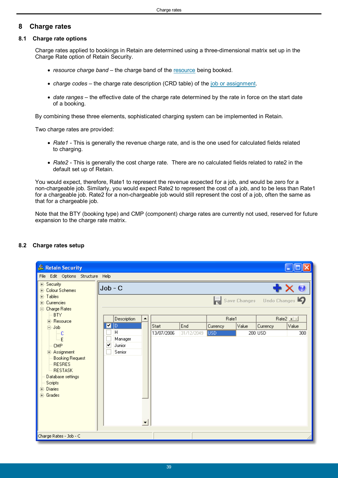## <span id="page-38-0"></span>**8 Charge rates**

### **8.1 Charge rate options**

Charge rates applied to bookings in Retain are determined using a three-dimensional matrix set up in the Charge Rate option of Retain Security.

- *resource charge band* the charge band of the [resource](#page-39-0) being booked.
- *charge codes* the charge rate description (CRD table) of the [job or assignment](#page-40-0).
- *date ranges* the effective date of the charge rate determined by the rate in force on the start date of a booking.

By combining these three elements, sophisticated charging system can be implemented in Retain.

Two charge rates are provided:

- *Rate1* This is generally the revenue charge rate, and is the one used for calculated fields related to charging.
- *Rate2* This is generally the cost charge rate. There are no calculated fields related to rate2 in the default set up of Retain.

You would expect, therefore, Rate1 to represent the revenue expected for a job, and would be zero for a non-chargeable job. Similarly, you would expect Rate2 to represent the cost of a job, and to be less than Rate1 for a chargeable job. Rate2 for a non-chargeable job would still represent the cost of a job, often the same as that for a chargeable job.

Note that the BTY (booking type) and CMP (component) charge rates are currently not used, reserved for future expansion to the charge rate matrix.

| & Retain Security                                                                                                                                                              |                                       |            |            |            |       |                                           |             |  |  |  |
|--------------------------------------------------------------------------------------------------------------------------------------------------------------------------------|---------------------------------------|------------|------------|------------|-------|-------------------------------------------|-------------|--|--|--|
|                                                                                                                                                                                | File Edit Options Structure Help      |            |            |            |       |                                           |             |  |  |  |
| 国· Security<br>i∓⊢Colour Schemes<br>मे <sub>"</sub> Tables<br>⊞- Currencies<br>Charge Rates<br>Ė                                                                               | $Job - C$                             |            |            |            |       | $\equiv$ Save Changes Undo Changes $\Box$ | ╋ ╳ Ø       |  |  |  |
| <b>BTY</b><br>F- Resource                                                                                                                                                      | Description<br>٠                      |            |            | Rate1      |       |                                           | Rate2 $\pm$ |  |  |  |
| 白- Job                                                                                                                                                                         | $\blacksquare$ $\blacksquare$         | Start      | End        | Currency   | Value | Currency                                  | Value       |  |  |  |
| l— C<br>i E<br><b>CMP</b><br>中 Assignment<br><b>Booking Request</b><br><b>RESRES</b><br>└- RESTASK<br>Database settings<br>Scripts<br><b>Diaries</b><br>÷ŀ<br><b>मे</b> Grades | Η<br>Manager<br>ᢦ<br>Junior<br>Senior | 13/07/2006 | 31/12/2049 | <b>USD</b> |       | 200 USD                                   | 300         |  |  |  |
| Charge Rates - Job - C                                                                                                                                                         |                                       |            |            |            |       |                                           |             |  |  |  |

## <span id="page-38-1"></span>**8.2 Charge rates setup**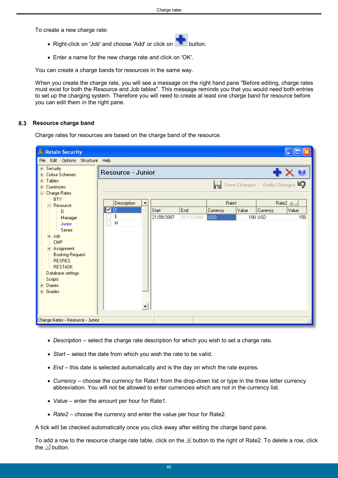To create a new charge rate:

- Right-click on 'Job' and choose 'Add' or click on
- Enter a name for the new charge rate and click on 'OK'.

You can create a charge bands for resources in the same way.

When you create the charge rate, you will see a message on the right hand pane "Before editing, charge rates must exist for both the Resource and Job tables". This message reminds you that you would need both entries to set up the charging system. Therefore you will need to create at least one charge band for resource before you can edit them in the right pane.

### <span id="page-39-0"></span>**8.3 Resource charge band**

Charge rates for resources are based on the charge band of the resource.

| & Retain Security                                                                                                                                                                                        |                   |            |            |            |       |                                  |             |
|----------------------------------------------------------------------------------------------------------------------------------------------------------------------------------------------------------|-------------------|------------|------------|------------|-------|----------------------------------|-------------|
| Edit Options Structure Help<br>File                                                                                                                                                                      |                   |            |            |            |       |                                  |             |
| 国· Security<br>∄- Colour Schemes<br><mark>⊞</mark> Tables<br>⊞- Currencies                                                                                                                               | Resource - Junior |            |            |            |       | ₩X.<br>Save Changes Undo Changes | $\bullet$   |
| <b>Charge Rates</b>                                                                                                                                                                                      |                   |            |            |            |       |                                  |             |
| <b>BTY</b><br>白· Resource                                                                                                                                                                                | Description       |            |            | Rate1      |       |                                  | Rate2 $\pm$ |
| ⊧– D                                                                                                                                                                                                     | ᢦ                 | Start      | End        | Currency   | Value | Currency                         | Value       |
| - Manager<br>- Junior<br>— Senior<br>国·Job<br><b>CMP</b><br>E Assignment<br><b>Booking Request</b><br><b>RESRES</b><br>└└ RESTASK<br>Database settings<br>Scripts<br><b>E</b> Diaries<br><b>E</b> Grades | E<br>H            | 21/09/2007 | 31/12/2049 | <b>USD</b> |       | 100 USD                          | 150         |
| Charge Rates - Resource - Junior                                                                                                                                                                         |                   |            |            |            |       |                                  |             |

- *Description* select the charge rate description for which you wish to set a charge rate.
- *Start* select the date from which you wish the rate to be valid.
- *End* this date is selected automatically and is the day on which the rate expires.
- *Currency* choose the currency for Rate1 from the drop-down list or type in the three letter currency abbreviation. You will not be allowed to enter currencies which are not in the currency list.
- *Value* enter the amount per hour for Rate1.
- *Rate2* choose the currency and enter the value per hour for Rate2.

A tick will be checked automatically once you click away after editing the charge band pane.

To add a row to the resource charge rate table, click on the  $\pm$  button to the right of Rate2. To delete a row, click the  $\blacksquare$  button.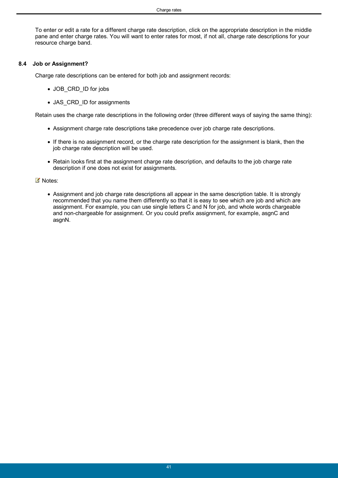To enter or edit a rate for a different charge rate description, click on the appropriate description in the middle pane and enter charge rates. You will want to enter rates for most, if not all, charge rate descriptions for your resource charge band.

## <span id="page-40-0"></span>**8.4 Job or Assignment?**

Charge rate descriptions can be entered for both job and assignment records:

- JOB CRD ID for jobs
- JAS\_CRD\_ID for assignments

Retain uses the charge rate descriptions in the following order (three different ways of saying the same thing):

- Assignment charge rate descriptions take precedence over job charge rate descriptions.
- If there is no assignment record, or the charge rate description for the assignment is blank, then the job charge rate description will be used.
- Retain looks first at the assignment charge rate description, and defaults to the job charge rate description if one does not exist for assignments.

#### ■ Notes:

 Assignment and job charge rate descriptions all appear in the same description table. It is strongly recommended that you name them differently so that it is easy to see which are job and which are assignment. For example, you can use single letters C and N for job, and whole words chargeable and non-chargeable for assignment. Or you could prefix assignment, for example, asgnC and asgnN.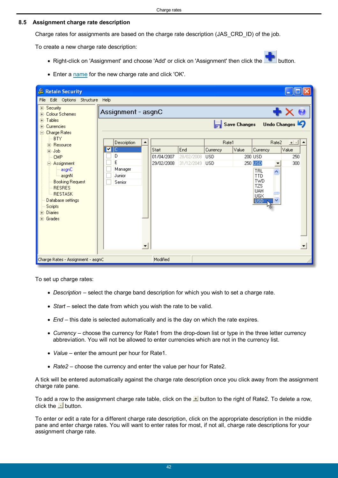### <span id="page-41-0"></span>**8.5 Assignment charge rate description**

Charge rates for assignments are based on the charge rate description (JAS\_CRD\_ID) of the job.

To create a new charge rate description:

- Right-click on 'Assignment' and choose 'Add' or click on 'Assignment' then click the **button**.
- Enter a [name](#page-40-0) for the new charge rate and click 'OK'.

| & Retain Security                           |   |                    |            |            |            |                     |                          |              |
|---------------------------------------------|---|--------------------|------------|------------|------------|---------------------|--------------------------|--------------|
| File Edit Options Structure Help            |   |                    |            |            |            |                     |                          |              |
| 田· Security<br><b>Colour Schemes</b><br>$+$ |   | Assignment - asgnC |            |            |            |                     |                          | ╋ ╳ Ø        |
| मे <sub>"</sub> Tables<br>Currencies<br>$+$ |   |                    |            |            |            | <b>Save Changes</b> |                          | Undo Changes |
| Charge Rates<br>$=$                         |   |                    |            |            |            |                     |                          |              |
| <b>BTY</b>                                  |   | Description        |            |            | Rate1      |                     | Rate2                    | $+$ $-$      |
| 中· Resource                                 | ▿ | ΙC                 | Start      | End        | Currency   | Value               | Currency                 | Value        |
| 中-Job<br><b>CMP</b>                         |   | D                  | 01/04/2007 | 28/02/2008 | <b>USD</b> |                     | 200 USD                  | 250          |
| 白 Assignment                                |   | E                  | 29/02/2008 | 31/12/2049 | <b>USD</b> |                     | 250 USD<br>▼             | 300          |
| asgnC                                       |   | Manager            |            |            |            |                     | TRL<br>⊼                 |              |
| asgnN                                       |   | Junior             |            |            |            |                     | <b>TTD</b>               |              |
| <b>Booking Request</b>                      |   | Senior             |            |            |            |                     | <b>TWD</b><br><b>TZS</b> |              |
| <b>RESRES</b><br><b>RESTASK</b>             |   |                    |            |            |            |                     | <b>UAH</b>               |              |
| Database settings                           |   |                    |            |            |            |                     | UGX<br>iusd              |              |
| Scripts                                     |   |                    |            |            |            |                     |                          |              |
| <b>Diaries</b><br>$\overline{+}$            |   |                    |            |            |            |                     |                          |              |
| <b>i</b> Grades                             |   |                    |            |            |            |                     |                          |              |
|                                             |   |                    |            |            |            |                     |                          |              |
|                                             |   |                    |            |            |            |                     |                          |              |
|                                             |   |                    |            |            |            |                     |                          | ▼            |
|                                             |   |                    |            |            |            |                     |                          |              |
| Charge Rates - Assignment - asgnC           |   |                    | Modified   |            |            |                     |                          |              |

To set up charge rates:

- *Description* select the charge band description for which you wish to set a charge rate.
- *Start* select the date from which you wish the rate to be valid.
- *End* this date is selected automatically and is the day on which the rate expires.
- *Currency* choose the currency for Rate1 from the drop-down list or type in the three letter currency abbreviation. You will not be allowed to enter currencies which are not in the currency list.
- *Value* enter the amount per hour for Rate1.
- *Rate2* choose the currency and enter the value per hour for Rate2.

A tick will be entered automatically against the charge rate description once you click away from the assignment charge rate pane.

To add a row to the assignment charge rate table, click on the **button to the right of Rate2.** To delete a row, click the  $\blacksquare$  button.

To enter or edit a rate for a different charge rate description, click on the appropriate description in the middle pane and enter charge rates. You will want to enter rates for most, if not all, charge rate descriptions for your assignment charge rate.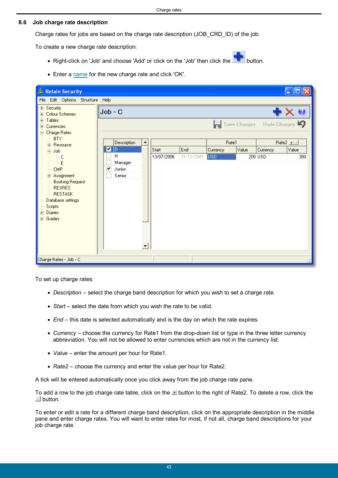#### <span id="page-42-0"></span>**8.6 Job charge rate description**

Charge rates for jobs are based on the charge rate description (JOB\_CRD\_ID) of the job.

To create a new charge rate description:

- Right-click on 'Job' and choose 'Add' or click on the 'Job' then click the **button**.
- Enter a [name](#page-40-0) for the new charge rate and click 'OK'.

| & Retain Security                                                                                                                                                                             |            |                                  |            |            |                  |       |                                           |                                      |
|-----------------------------------------------------------------------------------------------------------------------------------------------------------------------------------------------|------------|----------------------------------|------------|------------|------------------|-------|-------------------------------------------|--------------------------------------|
| File Edit Options Structure Help                                                                                                                                                              |            |                                  |            |            |                  |       |                                           |                                      |
| <b>⊞</b> Security<br>E- Colour Schemes<br>मे <sub>"</sub> Tables<br>Currencies<br>$\overline{+}$<br>Charge Rates<br>$\equiv$                                                                  | $Job - C$  |                                  |            |            |                  |       | $\equiv$ Save Changes Undo Changes $\Box$ | $\blacklozenge \times \blacklozenge$ |
| <b>BTY</b>                                                                                                                                                                                    |            | Description                      |            |            | Rate1            |       |                                           | Rate2 $\pm$                          |
| <b>i-</b> Resource<br>Ė<br>Job.                                                                                                                                                               | <b>M</b> D |                                  | Start      | End        | Currency         | Value | Currency                                  | Value                                |
| … C<br>٠F<br><b>CMP</b><br>中 Assignment<br><b>Booking Request</b><br><b>RESRES</b><br><b>RESTASK</b><br>Database settings<br>Scripts<br><b>Diaries</b><br>$\overline{+}$<br><b>i</b> ⊣ Grades | ▿          | H<br>Manager<br>Junior<br>Senior | 13/07/2006 | 31/12/2049 | USD <sup>1</sup> |       | 200 USD                                   | 300                                  |
| Charge Rates - Job - C                                                                                                                                                                        |            |                                  |            |            |                  |       |                                           |                                      |

To set up charge rates:

- *Description* select the charge band description for which you wish to set a charge rate.
- *Start* select the date from which you wish the rate to be valid.
- *End* this date is selected automatically and is the day on which the rate expires.
- *Currency* choose the currency for Rate1 from the drop-down list or type in the three letter currency abbreviation. You will not be allowed to enter currencies which are not in the currency list.
- *Value* enter the amount per hour for Rate1.
- *Rate2* choose the currency and enter the value per hour for Rate2.

A tick will be entered automatically once you click away from the job charge rate pane.

To add a row to the job charge rate table, click on the  $\pm$  button to the right of Rate2. To delete a row, click the  $\overline{\phantom{a}}$  button.

To enter or edit a rate for a different charge band description, click on the appropriate description in the middle pane and enter charge rates. You will want to enter rates for most, if not all, charge band descriptions for your job charge rate.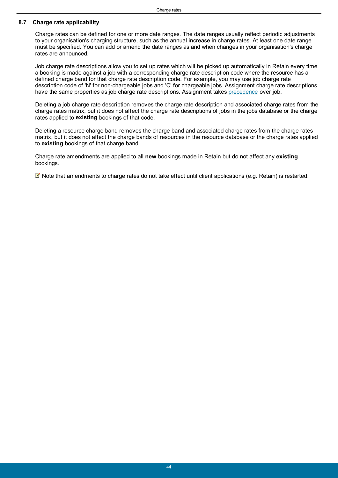### <span id="page-43-0"></span>**8.7 Charge rate applicability**

Charge rates can be defined for one or more date ranges. The date ranges usually reflect periodic adjustments to your organisation's charging structure, such as the annual increase in charge rates. At least one date range must be specified. You can add or amend the date ranges as and when changes in your organisation's charge rates are announced.

Job charge rate descriptions allow you to set up rates which will be picked up automatically in Retain every time a booking is made against a job with a corresponding charge rate description code where the resource has a defined charge band for that charge rate description code. For example, you may use job charge rate description code of 'N' for non-chargeable jobs and 'C' for chargeable jobs. Assignment charge rate descriptions have the same properties as job charge rate descriptions. Assignment takes [precedence](#page-40-0) over job.

Deleting a job charge rate description removes the charge rate description and associated charge rates from the charge rates matrix, but it does not affect the charge rate descriptions of jobs in the jobs database or the charge rates applied to **existing** bookings of that code.

Deleting a resource charge band removes the charge band and associated charge rates from the charge rates matrix, but it does not affect the charge bands of resources in the resource database or the charge rates applied to **existing** bookings of that charge band.

Charge rate amendments are applied to all **new** bookings made in Retain but do not affect any **existing** bookings.

Note that amendments to charge rates do not take effect until client applications (e.g. Retain) is restarted.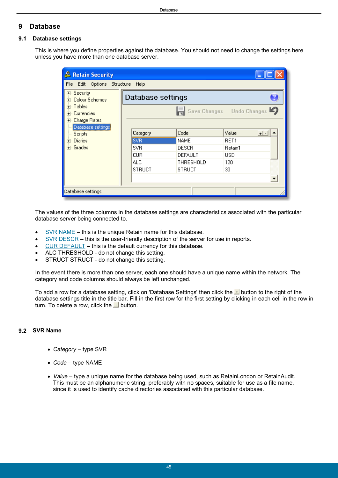## <span id="page-44-0"></span>**9 Database**

## **9.1 Database settings**

This is where you define properties against the database. You should not need to change the settings here unless you have more than one database server.

| & Retain Security                                 |                               |                      |                           |  |
|---------------------------------------------------|-------------------------------|----------------------|---------------------------|--|
| File Edit Options                                 | Structure Help                |                      |                           |  |
| <b>⊞</b> Security<br>⊞- Colour Schemes            | Database settings             |                      |                           |  |
| ∓⊢Tables<br>- Currencies<br>$+$<br>由 Charge Rates |                               |                      | Save Changes Undo Changes |  |
| Database settings<br>Scripts                      | Category                      | Code                 | Value<br>$+  \cdot  $     |  |
| ⊞⊹ Diaries<br>∓⊢Grades                            | <b>SVR</b><br>SV <sub>R</sub> | <b>NAME</b><br>DESCR | RET1<br>Retain1           |  |
|                                                   | <b>CUR</b>                    | DEFAULT              | USD                       |  |
|                                                   | ALC.                          | THRESHOLD            | 120                       |  |
|                                                   | <b>STRUCT</b>                 | <b>STRUCT</b>        | 30                        |  |
|                                                   |                               |                      | $\overline{\phantom{0}}$  |  |
| Database settings                                 |                               |                      |                           |  |

The values of the three columns in the database settings are characteristics associated with the particular database server being connected to.

- [SVR NAME](#page-44-1) this is the unique Retain name for this database.
- [SVR DESCR](#page-45-0) this is the user-friendly description of the server for use in reports.
- [CUR DEFAULT](#page-45-1) this is the default currency for this database.
- ALC THRESHOLD do not change this setting.
- STRUCT STRUCT do not change this setting.

In the event there is more than one server, each one should have a unique name within the network. The category and code columns should always be left unchanged.

To add a row for a database setting, click on 'Database Settings' then click the  $\pm$  button to the right of the database settings title in the title bar. Fill in the first row for the first setting by clicking in each cell in the row in turn. To delete a row, click the  $\Delta$  button.

## <span id="page-44-1"></span>**9.2 SVR Name**

- *Category* type SVR
- *Code* type NAME
- *Value* type a unique name for the database being used, such as RetainLondon or RetainAudit. This must be an alphanumeric string, preferably with no spaces, suitable for use as a file name, since it is used to identify cache directories associated with this particular database.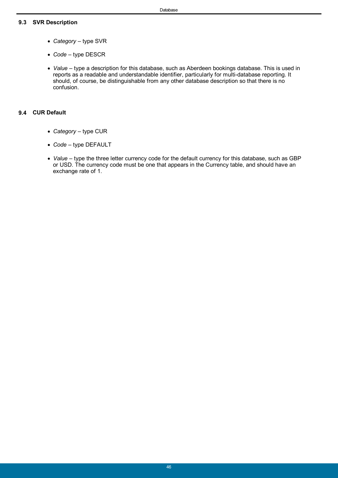## <span id="page-45-0"></span>**9.3 SVR Description**

- *Category* type SVR
- *Code* type DESCR
- *Value* type a description for this database, such as Aberdeen bookings database. This is used in reports as a readable and understandable identifier, particularly for multi-database reporting. It should, of course, be distinguishable from any other database description so that there is no confusion.

### <span id="page-45-1"></span>**9.4 CUR Default**

- *Category* type CUR
- *Code* type DEFAULT
- *Value* type the three letter currency code for the default currency for this database, such as GBP or USD. The currency code must be one that appears in the Currency table, and should have an exchange rate of 1.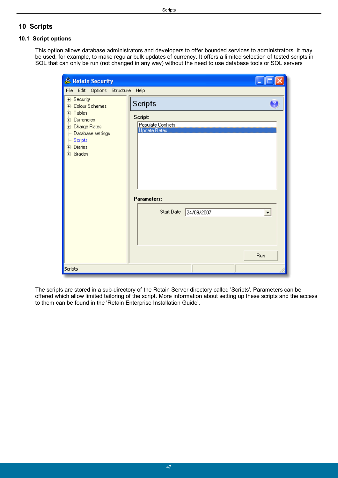## <span id="page-46-0"></span>**10 Scripts**

## **10.1 Script options**

This option allows database administrators and developers to offer bounded services to administrators. It may be used, for example, to make regular bulk updates of currency. It offers a limited selection of tested scripts in SQL that can only be run (not changed in any way) without the need to use database tools or SQL servers

| & Retain Security                                                                                                                                                            |                                                                                                                   |                             |
|------------------------------------------------------------------------------------------------------------------------------------------------------------------------------|-------------------------------------------------------------------------------------------------------------------|-----------------------------|
| File Edit Options Structure Help                                                                                                                                             |                                                                                                                   |                             |
| <b>⊞</b> Security<br><b>⊞</b> Colour Schemes<br>∄- Tables<br><b>i</b> Currencies<br>中 Charge Rates<br>Database settings<br>$\sim$ Scripts<br><b>i</b> - Diaries<br>∄- Grades | <b>Scripts</b><br>Script:<br>Populate Conflicts<br><b>Update Rates</b><br>Parameters:<br>Start Date<br>24/09/2007 | $\blacktriangledown$<br>Run |
| Scripts                                                                                                                                                                      |                                                                                                                   |                             |

The scripts are stored in a sub-directory of the Retain Server directory called 'Scripts'. Parameters can be offered which allow limited tailoring of the script. More information about setting up these scripts and the access to them can be found in the 'Retain Enterprise Installation Guide'.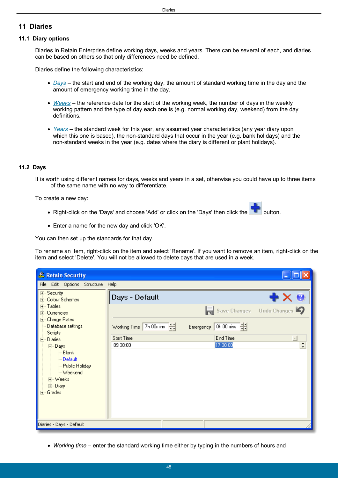## <span id="page-47-0"></span>**11 Diaries**

#### **11.1 Diary options**

Diaries in Retain Enterprise define working days, weeks and years. There can be several of each, and diaries can be based on others so that only differences need be defined.

Diaries define the following characteristics:

- *[Days](#page-47-1)* the start and end of the working day, the amount of standard working time in the day and the amount of emergency working time in the day.
- *[Weeks](#page-48-0)* the reference date for the start of the working week, the number of days in the weekly working pattern and the type of day each one is (e.g. normal working day, weekend) from the day definitions.
- *[Years](#page-49-0)* the standard week for this year, any assumed year characteristics (any year diary upon which this one is based), the non-standard days that occur in the year (e.g. bank holidays) and the non-standard weeks in the year (e.g. dates where the diary is different or plant holidays).

### <span id="page-47-1"></span>**11.2 Days**

It is worth using different names for days, weeks and years in a set, otherwise you could have up to three items of the same name with no way to differentiate.

To create a new day:

- Right-click on the 'Days' and choose 'Add' or click on the 'Days' then click the
- Enter a name for the new day and click 'OK'.

You can then set up the standards for that day.

To rename an item, right-click on the item and select 'Rename'. If you want to remove an item, right-click on the item and select 'Delete'. You will not be allowed to delete days that are used in a week.

| & Retain Security                                                                                                                                                                                                                                                      |                                                                                                                                                     |                                          |
|------------------------------------------------------------------------------------------------------------------------------------------------------------------------------------------------------------------------------------------------------------------------|-----------------------------------------------------------------------------------------------------------------------------------------------------|------------------------------------------|
| Edit Options Structure Help<br>File                                                                                                                                                                                                                                    |                                                                                                                                                     |                                          |
| ⊞- Security<br>由 Colour Schemes<br>由 Tables<br>- Currencies<br>F<br>由 Charge Rates<br>Database settings<br>Scripts<br><b>Diaries</b><br>Ė<br>白· Days<br>--- Blank<br>$\mathrel{\mathop:}=$ Default<br>- Public Holiday<br>Meekend<br>国·Weeks<br>由 Diary<br>Grades<br>Ŧ | Days - Default<br>Working Time 7h 00mins [ 식식<br>Emergency $0h$ 00mins $\frac{d[1]}{h[1]}$<br>End Time<br><b>Start Time</b><br>17:30:00<br>09:30:00 | Save Changes Undo Changes<br>┙<br>$\div$ |
| Diaries - Days - Default                                                                                                                                                                                                                                               |                                                                                                                                                     |                                          |

*Working time* – enter the standard working time either by typing in the numbers of hours and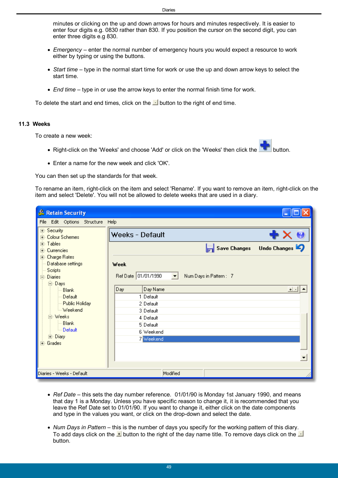minutes or clicking on the up and down arrows for hours and minutes respectively. It is easier to enter four digits e.g. 0830 rather than 830. If you position the cursor on the second digit, you can enter three digits e.g 830.

- *Emergency* enter the normal number of emergency hours you would expect a resource to work either by typing or using the buttons.
- *Start time* type in the normal start time for work or use the up and down arrow keys to select the start time.
- *End time* type in or use the arrow keys to enter the normal finish time for work.

To delete the start and end times, click on the  $\Box$  button to the right of end time.

#### <span id="page-48-0"></span>**11.3 Weeks**

To create a new week:

- Right-click on the 'Weeks' and choose 'Add' or click on the 'Weeks' then click the **button**.
- Enter a name for the new week and click 'OK'.

You can then set up the standards for that week.

To rename an item, right-click on the item and select 'Rename'. If you want to remove an item, right-click on the item and select 'Delete'. You will not be allowed to delete weeks that are used in a diary.

| & Retain Security                                      |                                                                          |              |
|--------------------------------------------------------|--------------------------------------------------------------------------|--------------|
| Edit Options Structure<br>File                         | Help                                                                     |              |
| <b>⊞</b> Security<br>由 Colour Schemes                  | Weeks - Default                                                          | ╋╳⋓          |
| <b>i</b> ∋ Tables<br>Currencies<br>$\overline{+}$      | Save Changes                                                             | Undo Changes |
| 画· Charge Rates<br>Database settings<br>$\sim$ Scripts | Week                                                                     |              |
| 白 Diaries<br>白· Days                                   | Ref Date 01/01/1990<br>Num Days in Pattern: 7<br>$\vert \bm{\tau} \vert$ |              |
| Blank                                                  | Day Name<br>Day                                                          | $+$ $-$      |
| --- Default<br>--- Public Holiday                      | 1 Default<br>2 Default                                                   |              |
| — Weekend                                              | 3 Default                                                                |              |
| 向 Weeks                                                | 4 Default                                                                |              |
| Blank<br><b>Default</b>                                | 5 Default                                                                |              |
| 国·Diary                                                | 6 Weekend<br>7 Weekend                                                   |              |
| 国· Grades                                              |                                                                          |              |
|                                                        |                                                                          | ▼            |
|                                                        |                                                                          |              |
| Diaries - Weeks - Default                              | Modified                                                                 |              |

- *Ref Date* this sets the day number reference. 01/01/90 is Monday 1st January 1990, and means that day 1 is a Monday. Unless you have specific reason to change it, it is recommended that you leave the Ref Date set to 01/01/90. If you want to change it, either click on the date components and type in the values you want, or click on the drop-down and select the date.
- *Num Days in Pattern* this is the number of days you specify for the working pattern of this diary. To add days click on the  $\pm$  button to the right of the day name title. To remove days click on the  $\pm$ button.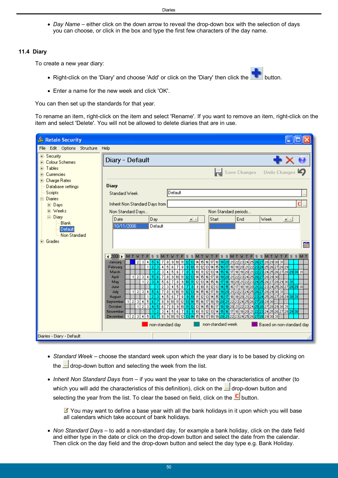*Day Name* – either click on the down arrow to reveal the drop-down box with the selection of days you can choose, or click in the box and type the first few characters of the day name.

#### <span id="page-49-0"></span>**11.4 Diary**

To create a new year diary:

- Right-click on the 'Diary' and choose 'Add' or click on the 'Diary' then click the **button**.
- Enter a name for the new week and click 'OK'.

You can then set up the standards for that year.

To rename an item, right-click on the item and select 'Rename'. If you want to remove an item, right-click on the item and select 'Delete'. You will not be allowed to delete diaries that are in use.

| & Retain Security                                          |                                                                                                                                                                                                                                                                                                                                                                      |  |
|------------------------------------------------------------|----------------------------------------------------------------------------------------------------------------------------------------------------------------------------------------------------------------------------------------------------------------------------------------------------------------------------------------------------------------------|--|
| Edit Options Structure<br>File                             | Help                                                                                                                                                                                                                                                                                                                                                                 |  |
| <b>⊞</b> Security<br>中 Colour Schemes                      | Diary - Default                                                                                                                                                                                                                                                                                                                                                      |  |
| <b>F</b> Tables<br><b>E</b> -Currencies<br>国· Charge Rates | Undo Changes<br><b>Save Changes</b>                                                                                                                                                                                                                                                                                                                                  |  |
| Database settings                                          | Diary                                                                                                                                                                                                                                                                                                                                                                |  |
| Scripts                                                    | Default<br>Standard Week                                                                                                                                                                                                                                                                                                                                             |  |
| 白· Diaries                                                 |                                                                                                                                                                                                                                                                                                                                                                      |  |
| 由 Days                                                     | c<br>Inherit Non Standard Days from                                                                                                                                                                                                                                                                                                                                  |  |
| 中 Weeks<br>白· Diary                                        | Non Standard periods<br>Non Standard Days                                                                                                                                                                                                                                                                                                                            |  |
| <b>Blank</b>                                               | Day<br>Week<br>Date<br>Start<br>End<br>$+$ $-$<br>$+$ $-$                                                                                                                                                                                                                                                                                                            |  |
| Default                                                    | 10/11/2006<br>Default                                                                                                                                                                                                                                                                                                                                                |  |
| <b>Non Standard</b>                                        |                                                                                                                                                                                                                                                                                                                                                                      |  |
| मि∘ Grades                                                 | 疆                                                                                                                                                                                                                                                                                                                                                                    |  |
|                                                            |                                                                                                                                                                                                                                                                                                                                                                      |  |
|                                                            | $42008$ MT<br>$F$ S S M T<br>M<br>s<br>s<br>s<br>s<br>T<br>W<br>s<br>s<br>s<br>s<br>м<br>м<br>м<br>IM.                                                                                                                                                                                                                                                               |  |
|                                                            | 2 3<br>5 <sup>1</sup><br>9 10 11<br>  12   13   14   15   16   17  <br>  18 <mark>  19   20</mark>   21   22   23   24   25 <mark> </mark><br>January<br>-6<br>7<br>8<br>27 28 29 30 31<br>4<br>261<br>5<br>8 9 10 11 12 13 14 15 16 17<br>24 25 26 27 28 29<br>21<br>6<br>$\overline{7}$<br>  18   19   20   21   22 <mark>  23</mark>  <br>3<br>February<br>4<br>1 |  |
|                                                            | 23 24 25 26 27 28 29 30 31<br>5<br>$\overline{7}$<br>3 10 11 12 13 14 15 16<br>  17   18   19   20   21 <mark>  22</mark>  <br>3<br>4<br>6 <sub>1</sub><br>-81<br>$\overline{2}$<br>1<br>March                                                                                                                                                                       |  |
|                                                            | 5 6 7 8 9 10 11 2 13 14 15 16 17 18 19 20 21 22 23<br>1 2 3<br>24 25 26<br>28 29 30<br>$\left  4 \right $<br>27<br><b>April</b><br>5<br>$11$ 12 13 14 15<br>$\overline{2}$<br>6<br>7<br> 8 <br>9<br>16 17 18<br>19 20 21<br>25 26 27 28 29 30 31<br>$\mathbf{1}$<br>31<br>10 <sup>1</sup><br>2324<br>4<br>22                                                         |  |
|                                                            | May<br>$8$ 9 10 11 12 13 14 15 16 17<br>  19   20 <mark>  21   22</mark>   23   24   25   26   27 <mark>  28   29</mark>   30<br>2 <sup>1</sup><br>5 <sup>1</sup><br>3<br>6<br>  18  <br>4<br>71<br>June                                                                                                                                                             |  |
|                                                            | <mark>12 13</mark> 14 15 16 17 18 19 20 21 22 23 24 25 26 27 28 29 30 31<br>78<br>9 10 11<br>$\overline{2}$<br>3<br>5 6 <br>$\vert$ 4<br>July<br>1 I                                                                                                                                                                                                                 |  |
|                                                            | 18 19 20 21 22 23 24 25 26 27 28 29 30 31<br>$\overline{2}$ $\overline{3}$ $\overline{1}$<br>45<br>8<br>$7 8 9 10 11 12 13 14 15 16 17 $<br>August<br>1<br>13 14 15 16 17 18 19 20 21 22 23 24 25 26 27 28 29 30<br>2 3 4<br>5<br>6 7 <br>8 9 10 <br>11 12 <br>September<br>$\mathbf{1}$                                                                             |  |
|                                                            | $\sqrt{2}$<br> 9  10 <mark>  11  12</mark>   13  14  15  16  17 <mark>  18  19 </mark>  20  21  22  23  24 <mark>  25  26 </mark>  27  28  29  30  31 <br>$\vert$ 3<br>41<br>$\overline{7}$<br>8<br>5<br> 6 <br>October<br>$\mathbf{1}$                                                                                                                              |  |
|                                                            | 23 24 25 26 27 28 29 30<br>3 10 11 12 13 14 15 16<br>-31<br>$\ddot{\phantom{1}}$<br>5<br>6 7<br>  17   18   19   20   21 <mark>  22</mark>  <br>$\overline{c}$<br>-81<br>November                                                                                                                                                                                    |  |
|                                                            | 18<br>8<br>9<br>3<br>10<br>15<br>December<br>$\overline{2}$<br>5<br>17<br>19<br>31<br>4<br>-1                                                                                                                                                                                                                                                                        |  |
|                                                            | non-standard week<br>non-standard day<br>Based on non-standard day                                                                                                                                                                                                                                                                                                   |  |
| Diaries - Diary - Default                                  |                                                                                                                                                                                                                                                                                                                                                                      |  |

- *Standard Week* choose the standard week upon which the year diary is to be based by clicking on the  $\frac{d}{dx}$  drop-down button and selecting the week from the list.
- *Inherit Non Standard Days from* if you want the year to take on the characteristics of another (to which you will add the characteristics of this definition), click on the  $\frac{d}{dx}$  drop-down button and selecting the year from the list. To clear the based on field, click on the  $\Box$  button.

You may want to define a base year with all the bank holidays in it upon which you will base all calendars which take account of bank holidays.

 *Non Standard Days* – to add a non-standard day, for example a bank holiday, click on the date field and either type in the date or click on the drop-down button and select the date from the calendar. Then click on the day field and the drop-down button and select the day type e.g. Bank Holiday.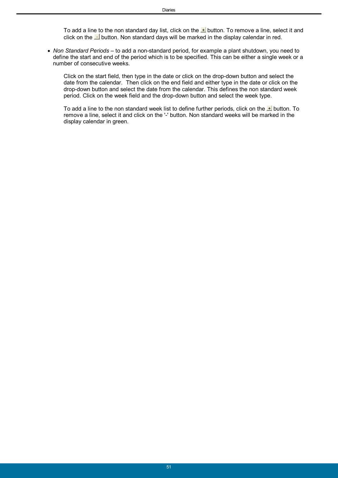To add a line to the non standard day list, click on the  $\pm$  button. To remove a line, select it and click on the  $\Box$  button. Non standard days will be marked in the display calendar in red.

 *Non Standard Periods* – to add a non-standard period, for example a plant shutdown, you need to define the start and end of the period which is to be specified. This can be either a single week or a number of consecutive weeks.

Click on the start field, then type in the date or click on the drop-down button and select the date from the calendar. Then click on the end field and either type in the date or click on the drop-down button and select the date from the calendar. This defines the non standard week period. Click on the week field and the drop-down button and select the week type.

To add a line to the non standard week list to define further periods, click on the  $\pm$  button. To remove a line, select it and click on the '-' button. Non standard weeks will be marked in the display calendar in green.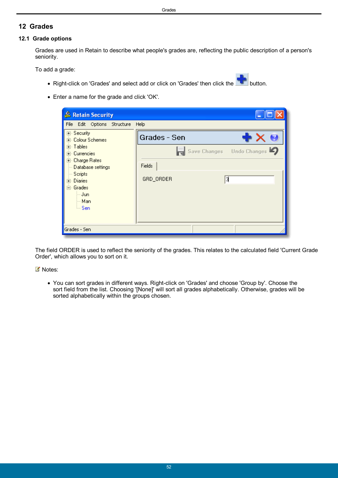## <span id="page-51-0"></span>**12 Grades**

### **12.1 Grade options**

Grades are used in Retain to describe what people's grades are, reflecting the public description of a person's seniority.

To add a grade:

- Right-click on 'Grades' and select add or click on 'Grades' then click the **button**.
- Enter a name for the grade and click 'OK'.

| File Edit Options Structure Help<br>⊞- Security<br>Grades - Sen<br>+ X W<br>i∓⊢Colour Schemes<br>⊞- Tables<br>Save Changes Undo Changes<br>मे- Currencies  <br>由 Charge Rates<br>Fields | & Retain Security |  |
|-----------------------------------------------------------------------------------------------------------------------------------------------------------------------------------------|-------------------|--|
|                                                                                                                                                                                         |                   |  |
|                                                                                                                                                                                         |                   |  |
|                                                                                                                                                                                         |                   |  |
| ⊱ Scripts<br>3<br>GRD_ORDER<br>मे⊹ Diaries                                                                                                                                              | Database settings |  |
| ⊟- Grades<br>∣— Jun<br>l— Man                                                                                                                                                           |                   |  |
| եա Sen<br>Grades - Sen                                                                                                                                                                  |                   |  |

The field ORDER is used to reflect the seniority of the grades. This relates to the calculated field 'Current Grade Order', which allows you to sort on it.

■ Notes:

 You can sort grades in different ways. Right-click on 'Grades' and choose 'Group by'. Choose the sort field from the list. Choosing '[None]' will sort all grades alphabetically. Otherwise, grades will be sorted alphabetically within the groups chosen.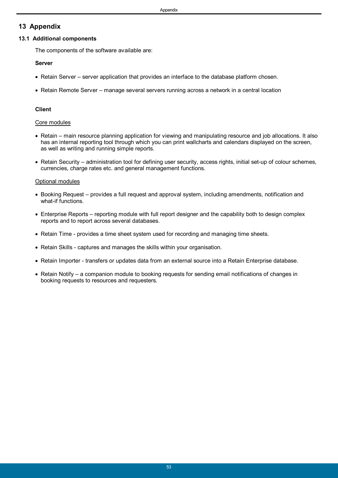## <span id="page-52-0"></span>**13 Appendix**

## **13.1 Additional components**

The components of the software available are:

## **Server**

- Retain Server server application that provides an interface to the database platform chosen.
- Retain Remote Server manage several servers running across a network in a central location

## **Client**

## Core modules

- Retain main resource planning application for viewing and manipulating resource and job allocations. It also has an internal reporting tool through which you can print wallcharts and calendars displayed on the screen, as well as writing and running simple reports.
- Retain Security administration tool for defining user security, access rights, initial set-up of colour schemes, currencies, charge rates etc. and general management functions.

## Optional modules

- Booking Request provides a full request and approval system, including amendments, notification and what-if functions.
- Enterprise Reports reporting module with full report designer and the capability both to design complex reports and to report across several databases.
- Retain Time provides a time sheet system used for recording and managing time sheets.
- Retain Skills captures and manages the skills within your organisation.
- Retain Importer transfers or updates data from an external source into a Retain Enterprise database.
- Retain Notify a companion module to booking requests for sending email notifications of changes in booking requests to resources and requesters.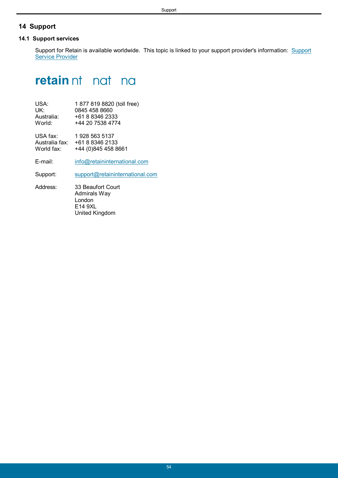## <span id="page-53-0"></span>**14 Support**

### **14.1 Support services**

Support for Retain is available worldwide. This topic is linked to your support provider's information: Support Service Provider

# **retain**nt not no

| 1877 819 8820 (toll free) |
|---------------------------|
| 0845 458 8660             |
| +61 8 8346 2333           |
| +44 20 7538 4774          |
|                           |

USA fax: 1 928 563 5137 Australia fax: +61 8 8346 2133<br>World fax: +44 (0)845 458 8 +44 (0)845 458 8661

E-mail: [info@retaininternational.com](mailto:info@retaininternational.com)

Support: [support@retaininternational.com](mailto:support@retaininternational.com)

Address: 33 Beaufort Court Admirals Way London E14 9XL United Kingdom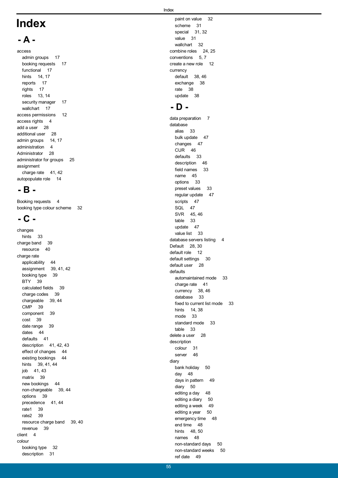# **Index**

## **- A -**

access admin groups 17 booking requests 17 functional 17 hints 14, 17 reports 17 rights 17 roles 13, 14 security manager 17 wallchart 17 access permissions 12 access rights 4 add a user 28 additional user 28 admin groups 14, 17 administration 4 Administrator 28 administrator for groups 25 assignment charge rate 41, 42 autopopulate role 14

## **- B -**

Booking requests 4 booking type colour scheme 32

## **- C -**

changes hints 33 charge band 39 resource 40 charge rate applicability 44 assignment 39, 41, 42 booking type 39 BTY 39 calculated fields 39 charge codes 39 chargeable 39, 44 CMP 39 component 39 cost 39 date range 39 dates 44 defaults 41 description 41, 42, 43 effect of changes 44 existing bookings 44 hints 39, 41, 44 job 41, 43 matrix 39 new bookings 44 non-chargeable 39, 44 options 39 precedence 41, 44 rate1 39 rate2 39 resource charge band 39, 40 revenue 39 client 4 colour booking type 32 description 31

paint on value 32 scheme 31 special 31, 32 value 31 wallchart 32 combine roles 24, 25 conventions 5, 7 create a new role 12 currency default 38, 46 exchange 38 rate 38 update 38

## **- D -**

data preparation 7 database alias 33 bulk update 47 changes 47 CUR 46 defaults 33 description 46 field names 33 name 45 options 33 preset values 33 regular update 47 scripts 47 SQL 47 SVR 45, 46 table 33 update 47 value list 33 database servers listing 4 Default 28, 30 default role 12 default settings 30 default user 28 defaults automaintained mode 33 charge rate 41 currency 38, 46 database 33 fixed to current list mode 33 hints 14, 38 mode 33 standard mode 33 table 33 delete a user 28 description colour 31 server 46 diary bank holiday 50 day 48 days in pattern 49 diary 50 editing a day 48 editing a diary 50 editing a week 49 editing a year 50 emergency time 48 end time 48 hints 48, 50 names 48 non-standard days 50 non-standard weeks 50 ref date 49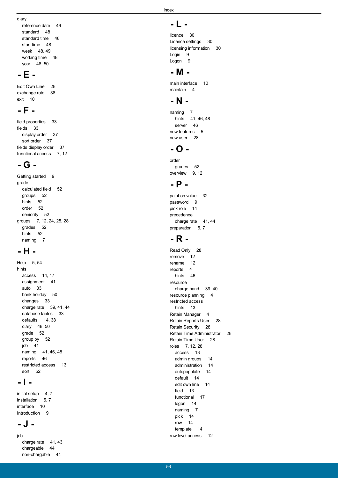reference date 49 standard 48 standard time 48 start time 48 week 48, 49 working time 48 year 48, 50

## **- E -**

Edit Own Line 28 exchange rate 38 exit 10

## **- F -**

field properties 33 fields 33 display order 37 sort order 37 fields display order 37 functional access 7, 12

## **- G -**

Getting started 9 grade calculated field 52 groups 52 hints 52 order 52 seniority 52 groups 7, 12, 24, 25, 28 grades 52 hints 52 naming 7

## **- H -**

Help 5, 54 hints access 14, 17 assignment 41 auto 33 bank holiday 50 changes 33 charge rate 39, 41, 44 database tables 33 defaults 14, 38 diary 48, 50 grade 52 group by 52 job 41 naming 41, 46, 48 reports 46 restricted access 13 sort 52

## **- I -**

initial setup  $4, 7$ installation 5, 7 interface 10 Introduction 9

## **- J -**

job charge rate 41, 43 chargeable 44 non-chargable 44

Index

## **- L -**

licence 30 Licence settings 30 licensing information 30 Login 9 Logon 9

## **- M -**

main interface 10 maintain 4

## **- N -**

naming 7 hints 41, 46, 48 server 46 new features 5 new user 28

## **- O -**

order grades 52 overview 9, 12

## **- P -**

paint on value 32 password 9 pick role 14 precedence charge rate 41, 44 preparation 5, 7

## **- R -**

Read Only 28 remove 12 rename 12 reports 4 hints 46 resource<br>charge band 39, 40 resource planning 4 restricted access hints 13 Retain Manager 4 Retain Reports User 28 Retain Security 28 Retain Time Administrator 28 Retain Time User 28 roles 7, 12, 28 access 13 admin groups 14 administration 14 autopopulate 14 default 14 edit own line 14 field 13 functional 17 logon 14 naming 7 pick 14 row 14 template 14 row level access 12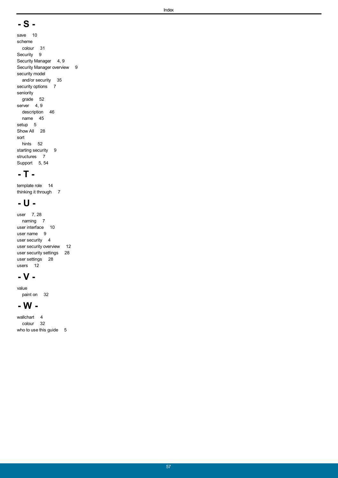## **- S -**

save 10 scheme colour 31 Security 9 Security Manager 4, 9 Security Manager overview 9 security model and/or security 35 security options 7 seniority grade 52 server 4, 9 description 46 name 45 setup 5 Show All 28 sort hints 52 starting security 9 structures 7 Support 5, 54

## **- T -**

template role 14 thinking it through 7

## **- U -**

user 7, 28 naming 7 user interface 10 user name 9 user security 4 user security overview 12 user security settings 28 user settings 28 users 12

## **- V -**

value paint on 32

## **- W -**

wallchart 4 colour 32 who to use this guide 5